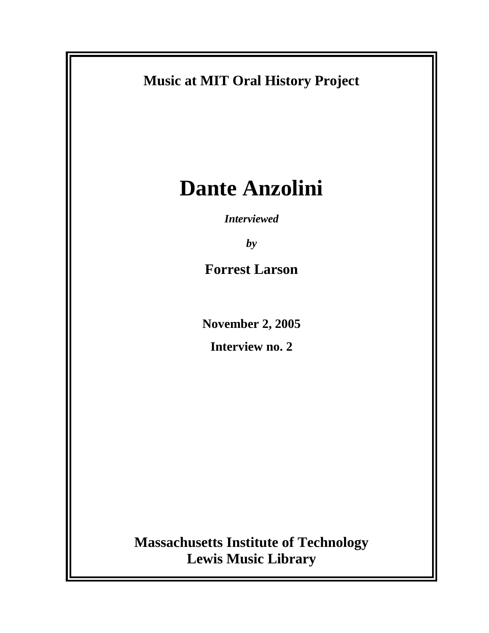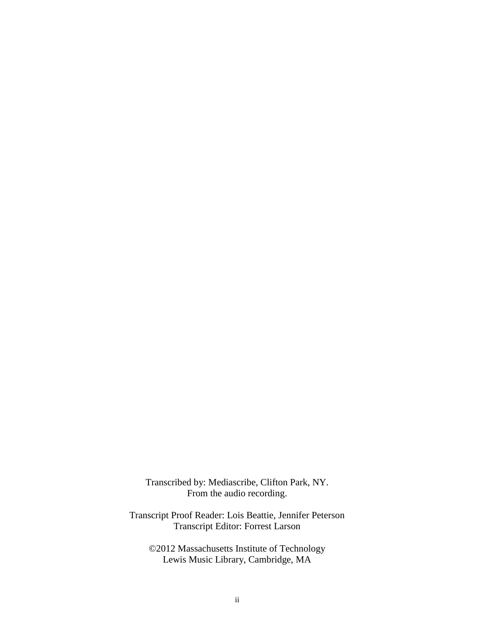Transcribed by: Mediascribe, Clifton Park, NY. From the audio recording.

Transcript Proof Reader: Lois Beattie, Jennifer Peterson Transcript Editor: Forrest Larson

©2012 Massachusetts Institute of Technology Lewis Music Library, Cambridge, MA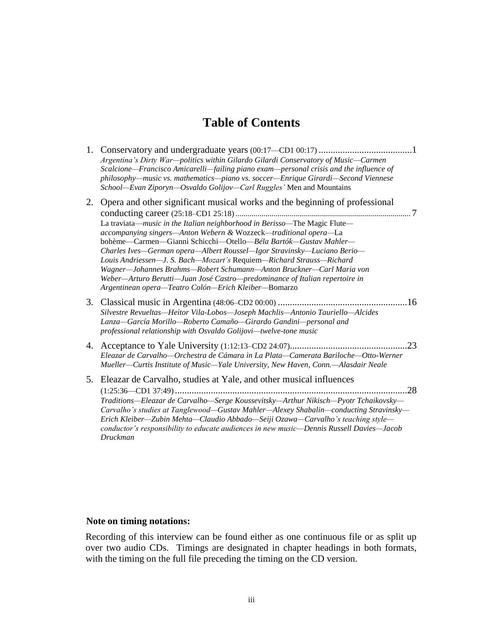# **Table of Contents**

- 1. Conservatory and undergraduate years (00:17—CD1 00:17) .......................................1 *Argentina's Dirty War—politics within Gilardo Gilardi Conservatory of Music—Carmen Scalcione—Francisco Amicarelli—failing piano exam—personal crisis and the influence of philosophy—music vs. mathematics—piano vs. soccer—Enrique Girardi—Second Viennese School—Evan Ziporyn—Osvaldo Golijov—Carl Ruggles'* Men and Mountains
- 2. Opera and other significant musical works and the beginning of professional conducting career (25:18–CD1 25:18)....................................................................................... 7 La traviata—*music in the Italian neighborhood in Berisso—*The Magic Flute *accompanying singers—Anton Webern &* Wozzeck*—traditional opera—*La bohème—Carmen—Gianni Schicchi—Otello—*Béla Bartók—Gustav Mahler— Charles Ives—German opera—Albert Roussel—Igor Stravinsky—Luciano Berio— Louis Andriessen—J. S. Bach—Mozart's* Requiem*—Richard Strauss—Richard Wagner—Johannes Brahms—Robert Schumann—Anton Bruckner—Carl Maria von Weber—Arturo Berutti—Juan José Castro—predominance of Italian repertoire in Argentinean opera—Teatro Colón—Erich Kleiber—*Bomarzo
- 3. Classical music in Argentina (48:06–CD2 00:00) ......................................................16 *Silvestre Revueltas—Heitor Vila-Lobos—Joseph Machlis—Antonio Tauriello—Alcides Lanza—García Morillo—Roberto Camaño—Girardo Gandini—personal and professional relationship with Osvaldo Golijovi—twelve-tone music*
- 4. Acceptance to Yale University (1:12:13–CD2 24:07).................................................23 *Eleazar de Carvalho—Orchestra de Cámara in La Plata—Camerata Bariloche—Otto-Werner Mueller—Curtis Institute of Music—Yale University, New Haven, Conn.—Alasdair Neale*
- 5. Eleazar de Carvalho, studies at Yale, and other musical influences (1:25:36—CD1 37:49).................................................................................................28 *Traditions—Eleazar de Carvalho—Serge Koussevitsky—Arthur Nikisch—Pyotr Tchaikovsky— Carvalho's studies at Tanglewood—Gustav Mahler—Alexey Shabalin—conducting Stravinsky— Erich Kleiber—Zubin Mehta—Claudio Abbado—Seiji Ozawa—Carvalho's teaching style conductor's responsibility to educate audiences in new music—Dennis Russell Davies—Jacob Druckman*

#### **Note on timing notations:**

Recording of this interview can be found either as one continuous file or as split up over two audio CDs. Timings are designated in chapter headings in both formats, with the timing on the full file preceding the timing on the CD version.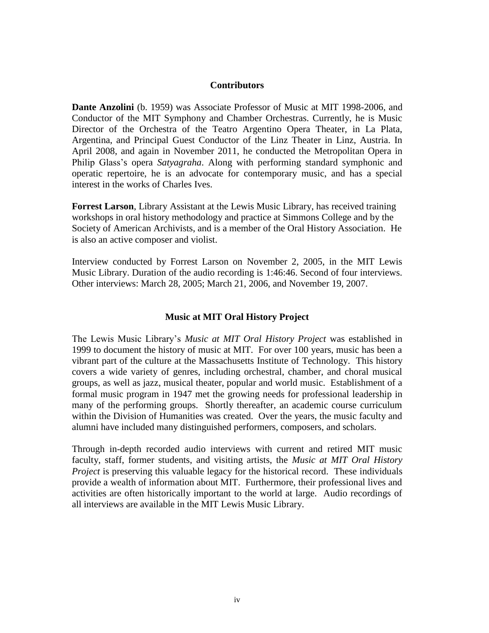#### **Contributors**

**Dante Anzolini** (b. 1959) was Associate Professor of Music at MIT 1998-2006, and Conductor of the MIT Symphony and Chamber Orchestras. Currently, he is Music Director of the Orchestra of the Teatro Argentino Opera Theater, in La Plata, Argentina, and Principal Guest Conductor of the Linz Theater in Linz, Austria. In April 2008, and again in November 2011, he conducted the Metropolitan Opera in Philip Glass's opera *Satyagraha*. Along with performing standard symphonic and operatic repertoire, he is an advocate for contemporary music, and has a special interest in the works of Charles Ives.

**Forrest Larson**, Library Assistant at the Lewis Music Library, has received training workshops in oral history methodology and practice at Simmons College and by the Society of American Archivists, and is a member of the Oral History Association. He is also an active composer and violist.

Interview conducted by Forrest Larson on November 2, 2005, in the MIT Lewis Music Library. Duration of the audio recording is 1:46:46. Second of four interviews. Other interviews: March 28, 2005; March 21, 2006, and November 19, 2007.

### **Music at MIT Oral History Project**

The Lewis Music Library's *Music at MIT Oral History Project* was established in 1999 to document the history of music at MIT. For over 100 years, music has been a vibrant part of the culture at the Massachusetts Institute of Technology. This history covers a wide variety of genres, including orchestral, chamber, and choral musical groups, as well as jazz, musical theater, popular and world music. Establishment of a formal music program in 1947 met the growing needs for professional leadership in many of the performing groups. Shortly thereafter, an academic course curriculum within the Division of Humanities was created. Over the years, the music faculty and alumni have included many distinguished performers, composers, and scholars.

Through in-depth recorded audio interviews with current and retired MIT music faculty, staff, former students, and visiting artists, the *Music at MIT Oral History Project* is preserving this valuable legacy for the historical record. These individuals provide a wealth of information about MIT. Furthermore, their professional lives and activities are often historically important to the world at large. Audio recordings of all interviews are available in the MIT Lewis Music Library.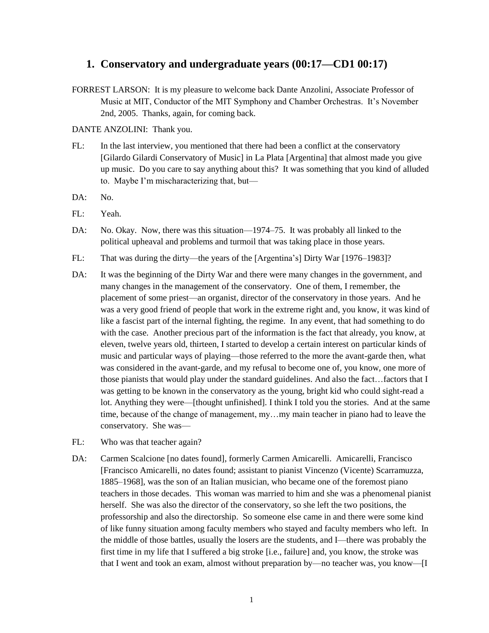### **1. Conservatory and undergraduate years (00:17—CD1 00:17)**

FORREST LARSON: It is my pleasure to welcome back Dante Anzolini, Associate Professor of Music at MIT, Conductor of the MIT Symphony and Chamber Orchestras. It's November 2nd, 2005. Thanks, again, for coming back.

DANTE ANZOLINI: Thank you.

- FL: In the last interview, you mentioned that there had been a conflict at the conservatory [Gilardo Gilardi Conservatory of Music] in La Plata [Argentina] that almost made you give up music. Do you care to say anything about this? It was something that you kind of alluded to. Maybe I'm mischaracterizing that, but—
- DA: No.
- FL: Yeah.
- DA: No. Okay. Now, there was this situation—1974–75. It was probably all linked to the political upheaval and problems and turmoil that was taking place in those years.
- FL: That was during the dirty—the years of the [Argentina's] Dirty War [1976–1983]?
- DA: It was the beginning of the Dirty War and there were many changes in the government, and many changes in the management of the conservatory. One of them, I remember, the placement of some priest—an organist, director of the conservatory in those years. And he was a very good friend of people that work in the extreme right and, you know, it was kind of like a fascist part of the internal fighting, the regime. In any event, that had something to do with the case. Another precious part of the information is the fact that already, you know, at eleven, twelve years old, thirteen, I started to develop a certain interest on particular kinds of music and particular ways of playing—those referred to the more the avant-garde then, what was considered in the avant-garde, and my refusal to become one of, you know, one more of those pianists that would play under the standard guidelines. And also the fact…factors that I was getting to be known in the conservatory as the young, bright kid who could sight-read a lot. Anything they were—[thought unfinished]. I think I told you the stories. And at the same time, because of the change of management, my…my main teacher in piano had to leave the conservatory. She was—
- FL: Who was that teacher again?
- DA: Carmen Scalcione [no dates found], formerly Carmen Amicarelli. Amicarelli, Francisco [Francisco Amicarelli, no dates found; assistant to pianist Vincenzo (Vicente) Scarramuzza, 1885–1968], was the son of an Italian musician, who became one of the foremost piano teachers in those decades. This woman was married to him and she was a phenomenal pianist herself. She was also the director of the conservatory, so she left the two positions, the professorship and also the directorship. So someone else came in and there were some kind of like funny situation among faculty members who stayed and faculty members who left. In the middle of those battles, usually the losers are the students, and I—there was probably the first time in my life that I suffered a big stroke [i.e., failure] and, you know, the stroke was that I went and took an exam, almost without preparation by—no teacher was, you know—[I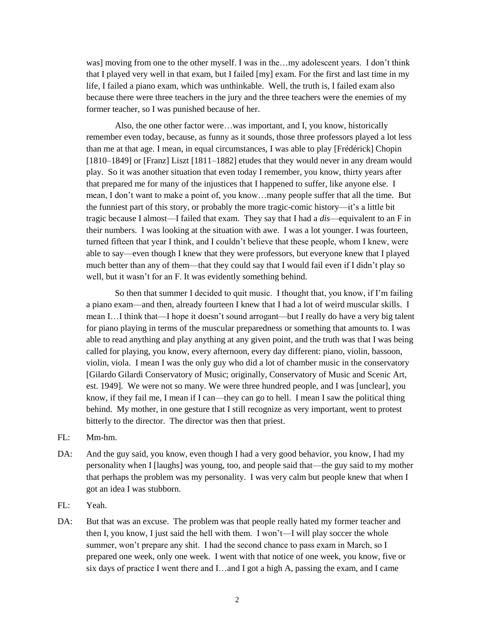was] moving from one to the other myself. I was in the…my adolescent years. I don't think that I played very well in that exam, but I failed [my] exam. For the first and last time in my life, I failed a piano exam, which was unthinkable. Well, the truth is, I failed exam also because there were three teachers in the jury and the three teachers were the enemies of my former teacher, so I was punished because of her.

Also, the one other factor were…was important, and I, you know, historically remember even today, because, as funny as it sounds, those three professors played a lot less than me at that age. I mean, in equal circumstances, I was able to play [Frédérick] Chopin [1810–1849] or [Franz] Liszt [1811–1882] etudes that they would never in any dream would play. So it was another situation that even today I remember, you know, thirty years after that prepared me for many of the injustices that I happened to suffer, like anyone else. I mean, I don't want to make a point of, you know…many people suffer that all the time. But the funniest part of this story, or probably the more tragic-comic history—it's a little bit tragic because I almost—I failed that exam. They say that I had a *dis*—equivalent to an F in their numbers. I was looking at the situation with awe. I was a lot younger. I was fourteen, turned fifteen that year I think, and I couldn't believe that these people, whom I knew, were able to say—even though I knew that they were professors, but everyone knew that I played much better than any of them—that they could say that I would fail even if I didn't play so well, but it wasn't for an F. It was evidently something behind.

So then that summer I decided to quit music. I thought that, you know, if I'm failing a piano exam—and then, already fourteen I knew that I had a lot of weird muscular skills. I mean I…I think that—I hope it doesn't sound arrogant—but I really do have a very big talent for piano playing in terms of the muscular preparedness or something that amounts to. I was able to read anything and play anything at any given point, and the truth was that I was being called for playing, you know, every afternoon, every day different: piano, violin, bassoon, violin, viola. I mean I was the only guy who did a lot of chamber music in the conservatory [Gilardo Gilardi Conservatory of Music; originally, Conservatory of Music and Scenic Art, est. 1949]. We were not so many. We were three hundred people, and I was [unclear], you know, if they fail me, I mean if I can—they can go to hell. I mean I saw the political thing behind. My mother, in one gesture that I still recognize as very important, went to protest bitterly to the director. The director was then that priest.

- FL: Mm-hm.
- DA: And the guy said, you know, even though I had a very good behavior, you know, I had my personality when I [laughs] was young, too, and people said that—the guy said to my mother that perhaps the problem was my personality. I was very calm but people knew that when I got an idea I was stubborn.
- FL: Yeah.
- DA: But that was an excuse. The problem was that people really hated my former teacher and then I, you know, I just said the hell with them. I won't—I will play soccer the whole summer, won't prepare any shit. I had the second chance to pass exam in March, so I prepared one week, only one week. I went with that notice of one week, you know, five or six days of practice I went there and I…and I got a high A, passing the exam, and I came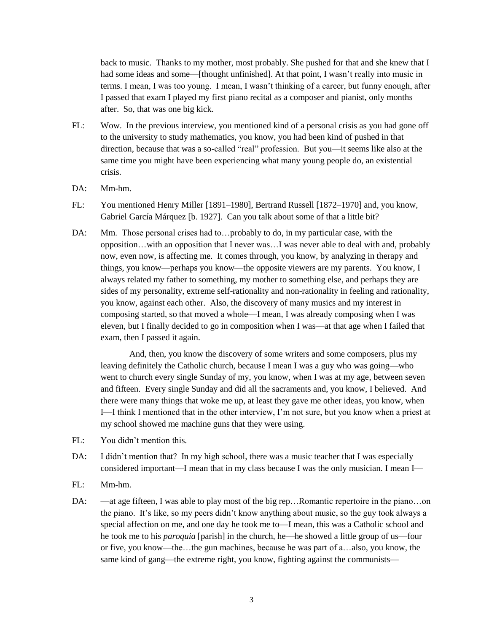back to music. Thanks to my mother, most probably. She pushed for that and she knew that I had some ideas and some—[thought unfinished]. At that point, I wasn't really into music in terms. I mean, I was too young. I mean, I wasn't thinking of a career, but funny enough, after I passed that exam I played my first piano recital as a composer and pianist, only months after. So, that was one big kick.

- FL: Wow. In the previous interview, you mentioned kind of a personal crisis as you had gone off to the university to study mathematics, you know, you had been kind of pushed in that direction, because that was a so-called "real" profession. But you—it seems like also at the same time you might have been experiencing what many young people do, an existential crisis.
- DA: Mm-hm.
- FL: You mentioned Henry Miller [1891–1980], Bertrand Russell [1872–1970] and, you know, Gabriel García Márquez [b. 1927]. Can you talk about some of that a little bit?
- DA: Mm. Those personal crises had to...probably to do, in my particular case, with the opposition…with an opposition that I never was…I was never able to deal with and, probably now, even now, is affecting me. It comes through, you know, by analyzing in therapy and things, you know—perhaps you know—the opposite viewers are my parents. You know, I always related my father to something, my mother to something else, and perhaps they are sides of my personality, extreme self-rationality and non-rationality in feeling and rationality, you know, against each other. Also, the discovery of many musics and my interest in composing started, so that moved a whole—I mean, I was already composing when I was eleven, but I finally decided to go in composition when I was—at that age when I failed that exam, then I passed it again.

And, then, you know the discovery of some writers and some composers, plus my leaving definitely the Catholic church, because I mean I was a guy who was going—who went to church every single Sunday of my, you know, when I was at my age, between seven and fifteen. Every single Sunday and did all the sacraments and, you know, I believed. And there were many things that woke me up, at least they gave me other ideas, you know, when I—I think I mentioned that in the other interview, I'm not sure, but you know when a priest at my school showed me machine guns that they were using.

- FL: You didn't mention this.
- DA: I didn't mention that? In my high school, there was a music teacher that I was especially considered important—I mean that in my class because I was the only musician. I mean I—
- FL: Mm-hm.
- DA: —at age fifteen, I was able to play most of the big rep... Romantic repertoire in the piano...on the piano. It's like, so my peers didn't know anything about music, so the guy took always a special affection on me, and one day he took me to—I mean, this was a Catholic school and he took me to his *paroquia* [parish] in the church, he—he showed a little group of us—four or five, you know—the…the gun machines, because he was part of a…also, you know, the same kind of gang—the extreme right, you know, fighting against the communists—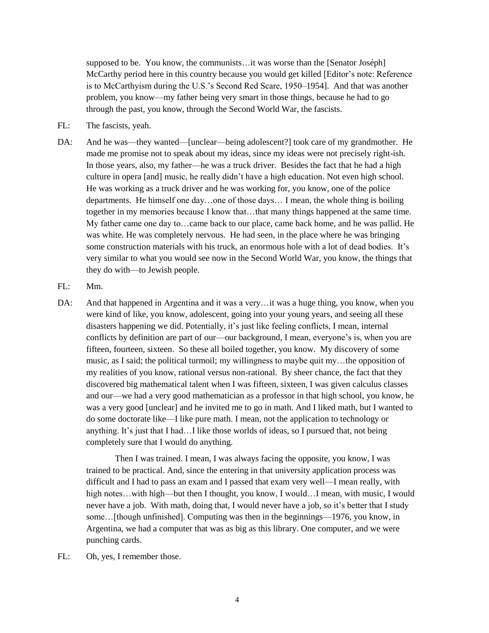supposed to be. You know, the communists…it was worse than the [Senator Joséph] McCarthy period here in this country because you would get killed [Editor's note: Reference is to McCarthyism during the U.S.'s Second Red Scare, 1950–1954]. And that was another problem, you know—my father being very smart in those things, because he had to go through the past, you know, through the Second World War, the fascists.

- FL: The fascists, yeah.
- DA: And he was—they wanted—[unclear—being adolescent?] took care of my grandmother. He made me promise not to speak about my ideas, since my ideas were not precisely right-ish. In those years, also, my father—he was a truck driver. Besides the fact that he had a high culture in opera [and] music, he really didn't have a high education. Not even high school. He was working as a truck driver and he was working for, you know, one of the police departments. He himself one day…one of those days… I mean, the whole thing is boiling together in my memories because I know that…that many things happened at the same time. My father came one day to…came back to our place, came back home, and he was pallid. He was white. He was completely nervous. He had seen, in the place where he was bringing some construction materials with his truck, an enormous hole with a lot of dead bodies. It's very similar to what you would see now in the Second World War, you know, the things that they do with—to Jewish people.
- FL: Mm.
- DA: And that happened in Argentina and it was a very...it was a huge thing, you know, when you were kind of like, you know, adolescent, going into your young years, and seeing all these disasters happening we did. Potentially, it's just like feeling conflicts, I mean, internal conflicts by definition are part of our—our background, I mean, everyone's is, when you are fifteen, fourteen, sixteen. So these all boiled together, you know. My discovery of some music, as I said; the political turmoil; my willingness to maybe quit my…the opposition of my realities of you know, rational versus non-rational. By sheer chance, the fact that they discovered big mathematical talent when I was fifteen, sixteen, I was given calculus classes and our—we had a very good mathematician as a professor in that high school, you know, he was a very good [unclear] and he invited me to go in math. And I liked math, but I wanted to do some doctorate like—I like pure math. I mean, not the application to technology or anything. It's just that I had…I like those worlds of ideas, so I pursued that, not being completely sure that I would do anything.

Then I was trained. I mean, I was always facing the opposite, you know, I was trained to be practical. And, since the entering in that university application process was difficult and I had to pass an exam and I passed that exam very well—I mean really, with high notes…with high—but then I thought, you know, I would…I mean, with music, I would never have a job. With math, doing that, I would never have a job, so it's better that I study some…[though unfinished]. Computing was then in the beginnings—1976, you know, in Argentina, we had a computer that was as big as this library. One computer, and we were punching cards.

FL: Oh, yes, I remember those.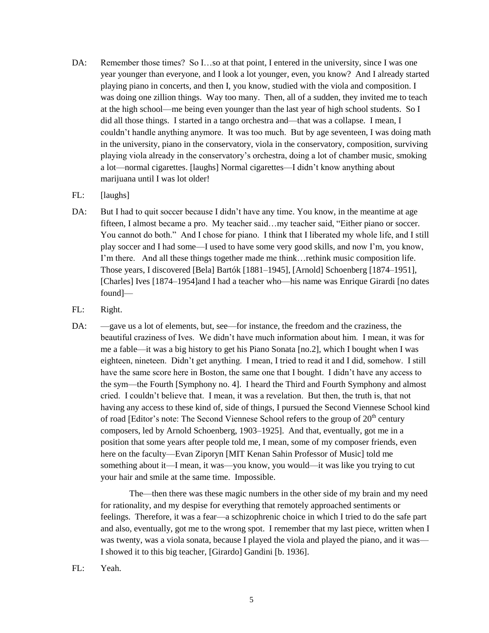- DA: Remember those times? So I...so at that point, I entered in the university, since I was one year younger than everyone, and I look a lot younger, even, you know? And I already started playing piano in concerts, and then I, you know, studied with the viola and composition. I was doing one zillion things. Way too many. Then, all of a sudden, they invited me to teach at the high school—me being even younger than the last year of high school students. So I did all those things. I started in a tango orchestra and—that was a collapse. I mean, I couldn't handle anything anymore. It was too much. But by age seventeen, I was doing math in the university, piano in the conservatory, viola in the conservatory, composition, surviving playing viola already in the conservatory's orchestra, doing a lot of chamber music, smoking a lot—normal cigarettes. [laughs] Normal cigarettes—I didn't know anything about marijuana until I was lot older!
- FL: [laughs]
- DA: But I had to quit soccer because I didn't have any time. You know, in the meantime at age fifteen, I almost became a pro. My teacher said…my teacher said, "Either piano or soccer. You cannot do both." And I chose for piano. I think that I liberated my whole life, and I still play soccer and I had some—I used to have some very good skills, and now I'm, you know, I'm there. And all these things together made me think…rethink music composition life. Those years, I discovered [Bela] Bartók [1881–1945], [Arnold] Schoenberg [1874–1951], [Charles] Ives [1874–1954]and I had a teacher who—his name was Enrique Girardi [no dates found]—
- FL: Right.
- DA: —gave us a lot of elements, but, see—for instance, the freedom and the craziness, the beautiful craziness of Ives. We didn't have much information about him. I mean, it was for me a fable—it was a big history to get his Piano Sonata [no.2], which I bought when I was eighteen, nineteen. Didn't get anything. I mean, I tried to read it and I did, somehow. I still have the same score here in Boston, the same one that I bought. I didn't have any access to the sym—the Fourth [Symphony no. 4]. I heard the Third and Fourth Symphony and almost cried. I couldn't believe that. I mean, it was a revelation. But then, the truth is, that not having any access to these kind of, side of things, I pursued the Second Viennese School kind of road [Editor's note: The Second Viennese School refers to the group of  $20<sup>th</sup>$  century composers, led by Arnold Schoenberg, 1903–1925]. And that, eventually, got me in a position that some years after people told me, I mean, some of my composer friends, even here on the faculty—Evan Ziporyn [MIT Kenan Sahin Professor of Music] told me something about it—I mean, it was—you know, you would—it was like you trying to cut your hair and smile at the same time. Impossible.

The—then there was these magic numbers in the other side of my brain and my need for rationality, and my despise for everything that remotely approached sentiments or feelings. Therefore, it was a fear—a schizophrenic choice in which I tried to do the safe part and also, eventually, got me to the wrong spot. I remember that my last piece, written when I was twenty, was a viola sonata, because I played the viola and played the piano, and it was— I showed it to this big teacher, [Girardo] Gandini [b. 1936].

FL: Yeah.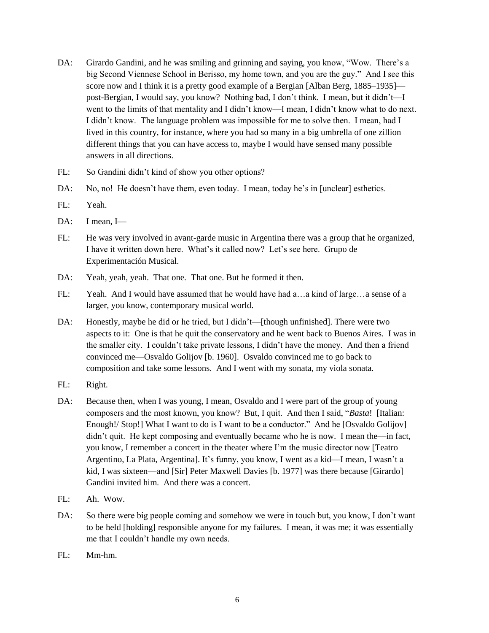- DA: Girardo Gandini, and he was smiling and grinning and saying, you know, "Wow. There's a big Second Viennese School in Berisso, my home town, and you are the guy." And I see this score now and I think it is a pretty good example of a Bergian [Alban Berg, 1885–1935] post-Bergian, I would say, you know? Nothing bad, I don't think. I mean, but it didn't—I went to the limits of that mentality and I didn't know—I mean, I didn't know what to do next. I didn't know. The language problem was impossible for me to solve then. I mean, had I lived in this country, for instance, where you had so many in a big umbrella of one zillion different things that you can have access to, maybe I would have sensed many possible answers in all directions.
- FL: So Gandini didn't kind of show you other options?
- DA: No, no! He doesn't have them, even today. I mean, today he's in [unclear] esthetics.
- FL: Yeah.
- DA: I mean, I-
- FL: He was very involved in avant-garde music in Argentina there was a group that he organized, I have it written down here. What's it called now? Let's see here. Grupo de Experimentación Musical.
- DA: Yeah, yeah, yeah. That one. That one. But he formed it then.
- FL: Yeah. And I would have assumed that he would have had a…a kind of large…a sense of a larger, you know, contemporary musical world.
- DA: Honestly, maybe he did or he tried, but I didn't—[though unfinished]. There were two aspects to it: One is that he quit the conservatory and he went back to Buenos Aires. I was in the smaller city. I couldn't take private lessons, I didn't have the money. And then a friend convinced me—Osvaldo Golijov [b. 1960]. Osvaldo convinced me to go back to composition and take some lessons. And I went with my sonata, my viola sonata.
- FL: Right.
- DA: Because then, when I was young, I mean, Osvaldo and I were part of the group of young composers and the most known, you know? But, I quit. And then I said, "*Basta*! [Italian: Enough!/ Stop!] What I want to do is I want to be a conductor." And he [Osvaldo Golijov] didn't quit. He kept composing and eventually became who he is now. I mean the—in fact, you know, I remember a concert in the theater where I'm the music director now [Teatro Argentino, La Plata, Argentina]. It's funny, you know, I went as a kid—I mean, I wasn't a kid, I was sixteen—and [Sir] Peter Maxwell Davies [b. 1977] was there because [Girardo] Gandini invited him. And there was a concert.
- FL: Ah. Wow.
- DA: So there were big people coming and somehow we were in touch but, you know, I don't want to be held [holding] responsible anyone for my failures. I mean, it was me; it was essentially me that I couldn't handle my own needs.
- FL: Mm-hm.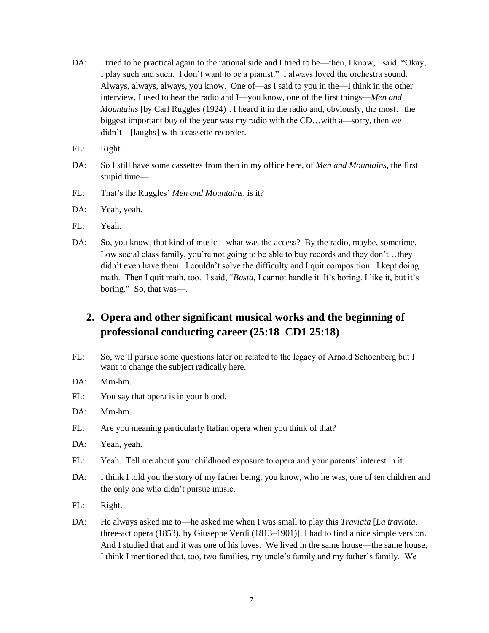- DA: I tried to be practical again to the rational side and I tried to be—then, I know, I said, "Okay, I play such and such. I don't want to be a pianist." I always loved the orchestra sound. Always, always, always, you know. One of—as I said to you in the—I think in the other interview, I used to hear the radio and I—you know, one of the first things—*Men and Mountains* [by Carl Ruggles (1924)]. I heard it in the radio and, obviously, the most…the biggest important buy of the year was my radio with the CD…with a—sorry, then we didn't—[laughs] with a cassette recorder.
- FL: Right.
- DA: So I still have some cassettes from then in my office here, of *Men and Mountains,* the first stupid time—
- FL: That's the Ruggles' *Men and Mountains,* is it?
- DA: Yeah, yeah.
- FL: Yeah.
- DA: So, you know, that kind of music—what was the access? By the radio, maybe, sometime. Low social class family, you're not going to be able to buy records and they don't…they didn't even have them. I couldn't solve the difficulty and I quit composition. I kept doing math. Then I quit math, too. I said, "*Basta*, I cannot handle it. It's boring. I like it, but it's boring." So, that was—.

# **2. Opera and other significant musical works and the beginning of professional conducting career (25:18–CD1 25:18)**

- FL: So, we'll pursue some questions later on related to the legacy of Arnold Schoenberg but I want to change the subject radically here.
- DA: Mm-hm.
- FL: You say that opera is in your blood.
- DA: Mm-hm.
- FL: Are you meaning particularly Italian opera when you think of that?
- DA: Yeah, yeah.
- FL: Yeah. Tell me about your childhood exposure to opera and your parents' interest in it.
- DA: I think I told you the story of my father being, you know, who he was, one of ten children and the only one who didn't pursue music.
- FL: Right.
- DA: He always asked me to—he asked me when I was small to play this *Traviata* [*La traviata*, three-act opera (1853), by Giuseppe Verdi (1813–1901)]. I had to find a nice simple version. And I studied that and it was one of his loves. We lived in the same house—the same house, I think I mentioned that, too, two families, my uncle's family and my father's family. We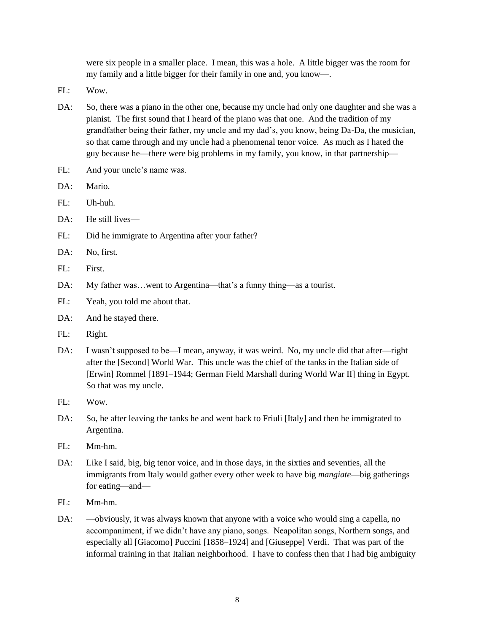were six people in a smaller place. I mean, this was a hole. A little bigger was the room for my family and a little bigger for their family in one and, you know—.

- FL: Wow.
- DA: So, there was a piano in the other one, because my uncle had only one daughter and she was a pianist. The first sound that I heard of the piano was that one. And the tradition of my grandfather being their father, my uncle and my dad's, you know, being Da-Da, the musician, so that came through and my uncle had a phenomenal tenor voice. As much as I hated the guy because he—there were big problems in my family, you know, in that partnership—
- FL: And your uncle's name was.
- DA: Mario.
- FL: Uh-huh.
- DA: He still lives—
- FL: Did he immigrate to Argentina after your father?
- DA: No, first.
- FL: First.
- DA: My father was...went to Argentina—that's a funny thing—as a tourist.
- FL: Yeah, you told me about that.
- DA: And he stayed there.
- FL: Right.
- DA: I wasn't supposed to be—I mean, anyway, it was weird. No, my uncle did that after—right after the [Second] World War. This uncle was the chief of the tanks in the Italian side of [Erwin] Rommel [1891–1944; German Field Marshall during World War II] thing in Egypt. So that was my uncle.
- $FI:$  Wow.
- DA: So, he after leaving the tanks he and went back to Friuli [Italy] and then he immigrated to Argentina.
- FL: Mm-hm.
- DA: Like I said, big, big tenor voice, and in those days, in the sixties and seventies, all the immigrants from Italy would gather every other week to have big *mangiate*—big gatherings for eating—and—
- FL: Mm-hm.
- DA: —obviously, it was always known that anyone with a voice who would sing a capella, no accompaniment, if we didn't have any piano, songs. Neapolitan songs, Northern songs, and especially all [Giacomo] Puccini [1858–1924] and [Giuseppe] Verdi. That was part of the informal training in that Italian neighborhood. I have to confess then that I had big ambiguity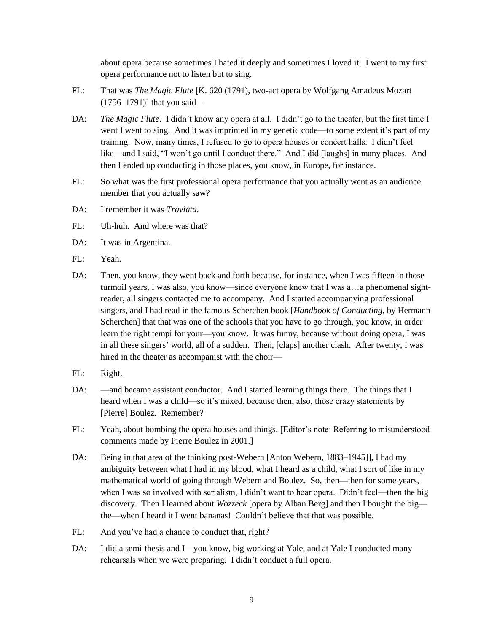about opera because sometimes I hated it deeply and sometimes I loved it. I went to my first opera performance not to listen but to sing.

- FL: That was *The Magic Flute* [K. 620 (1791), two-act opera by Wolfgang Amadeus Mozart (1756–1791)] that you said—
- DA: *The Magic Flute*. I didn't know any opera at all. I didn't go to the theater, but the first time I went I went to sing. And it was imprinted in my genetic code—to some extent it's part of my training. Now, many times, I refused to go to opera houses or concert halls. I didn't feel like—and I said, "I won't go until I conduct there." And I did [laughs] in many places. And then I ended up conducting in those places, you know, in Europe, for instance.
- FL: So what was the first professional opera performance that you actually went as an audience member that you actually saw?
- DA: I remember it was *Traviata*.
- FL: Uh-huh. And where was that?
- DA: It was in Argentina.
- FL: Yeah.
- DA: Then, you know, they went back and forth because, for instance, when I was fifteen in those turmoil years, I was also, you know—since everyone knew that I was a…a phenomenal sightreader, all singers contacted me to accompany. And I started accompanying professional singers, and I had read in the famous Scherchen book [*Handbook of Conducting*, by Hermann Scherchen] that that was one of the schools that you have to go through, you know, in order learn the right tempi for your—you know. It was funny, because without doing opera, I was in all these singers' world, all of a sudden. Then, [claps] another clash. After twenty, I was hired in the theater as accompanist with the choir—
- FL: Right.
- DA: —and became assistant conductor. And I started learning things there. The things that I heard when I was a child—so it's mixed, because then, also, those crazy statements by [Pierre] Boulez. Remember?
- FL: Yeah, about bombing the opera houses and things. [Editor's note: Referring to misunderstood comments made by Pierre Boulez in 2001.]
- DA: Being in that area of the thinking post-Webern [Anton Webern, 1883–1945]], I had my ambiguity between what I had in my blood, what I heard as a child, what I sort of like in my mathematical world of going through Webern and Boulez. So, then—then for some years, when I was so involved with serialism, I didn't want to hear opera. Didn't feel—then the big discovery. Then I learned about *Wozzeck* [opera by Alban Berg] and then I bought the big the—when I heard it I went bananas! Couldn't believe that that was possible.
- FL: And you've had a chance to conduct that, right?
- DA: I did a semi-thesis and I—you know, big working at Yale, and at Yale I conducted many rehearsals when we were preparing. I didn't conduct a full opera.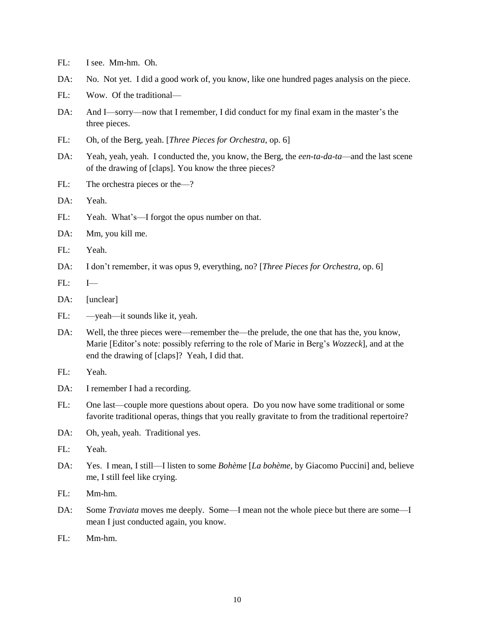- FL: I see. Mm-hm. Oh.
- DA: No. Not yet. I did a good work of, you know, like one hundred pages analysis on the piece.
- FL: Wow. Of the traditional—
- DA: And I—sorry—now that I remember, I did conduct for my final exam in the master's the three pieces.
- FL: Oh, of the Berg, yeah. [*Three Pieces for Orchestra*, op. 6]
- DA: Yeah, yeah, yeah. I conducted the, you know, the Berg, the *een-ta-da-ta*—and the last scene of the drawing of [claps]. You know the three pieces?
- FL: The orchestra pieces or the—?
- DA: Yeah.
- FL: Yeah. What's—I forgot the opus number on that.
- DA: Mm, you kill me.
- FL: Yeah.
- DA: I don't remember, it was opus 9, everything, no? [*Three Pieces for Orchestra*, op. 6]
- $FL: I \rightarrow$
- DA: [unclear]
- FL: —yeah—it sounds like it, yeah.
- DA: Well, the three pieces were—remember the—the prelude, the one that has the, you know, Marie [Editor's note: possibly referring to the role of Marie in Berg's *Wozzeck*], and at the end the drawing of [claps]? Yeah, I did that.
- FL: Yeah.
- DA: I remember I had a recording.
- FL: One last—couple more questions about opera. Do you now have some traditional or some favorite traditional operas, things that you really gravitate to from the traditional repertoire?
- DA: Oh, yeah, yeah. Traditional yes.
- FL: Yeah.
- DA: Yes. I mean, I still—I listen to some *Bohème* [*La bohème*, by Giacomo Puccini] and, believe me, I still feel like crying.
- FL: Mm-hm.
- DA: Some *Traviata* moves me deeply. Some—I mean not the whole piece but there are some—I mean I just conducted again, you know.
- FL: Mm-hm.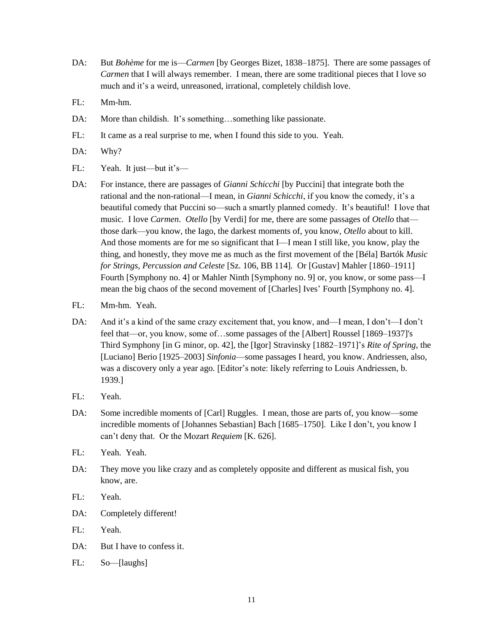- DA: But *Bohème* for me is—*Carmen* [by Georges Bizet, 1838–1875]. There are some passages of *Carmen* that I will always remember. I mean, there are some traditional pieces that I love so much and it's a weird, unreasoned, irrational, completely childish love.
- FL: Mm-hm.
- DA: More than childish. It's something...something like passionate.
- FL: It came as a real surprise to me, when I found this side to you. Yeah.
- DA: Why?
- FL: Yeah. It just—but it's—
- DA: For instance, there are passages of *Gianni Schicchi* [by Puccini] that integrate both the rational and the non-rational—I mean, in *Gianni Schicchi*, if you know the comedy, it's a beautiful comedy that Puccini so—such a smartly planned comedy. It's beautiful! I love that music. I love *Carmen*. *Otello* [by Verdi] for me, there are some passages of *Otello* that those dark—you know, the Iago, the darkest moments of, you know, *Otello* about to kill. And those moments are for me so significant that I—I mean I still like, you know, play the thing, and honestly, they move me as much as the first movement of the [Béla] Bartók *Music for Strings, Percussion and Celeste* [Sz. 106, BB 114]*.* Or [Gustav] Mahler [1860–1911] Fourth [Symphony no. 4] or Mahler Ninth [Symphony no. 9] or, you know, or some pass—I mean the big chaos of the second movement of [Charles] Ives' Fourth [Symphony no. 4].
- FL: Mm-hm. Yeah.
- DA: And it's a kind of the same crazy excitement that, you know, and—I mean, I don't—I don't feel that—or, you know, some of…some passages of the [Albert] Roussel [1869–1937]'s Third Symphony [in G minor, op. 42], the [Igor] Stravinsky [1882–1971]'s *Rite of Spring*, the [Luciano] Berio [1925–2003] *Sinfonia*—some passages I heard, you know. Andriessen, also, was a discovery only a year ago. [Editor's note: likely referring to Louis Andriessen, b. 1939.]
- FL: Yeah.
- DA: Some incredible moments of [Carl] Ruggles. I mean, those are parts of, you know—some incredible moments of [Johannes Sebastian] Bach [1685–1750]. Like I don't, you know I can't deny that. Or the Mozart *Requiem* [K. 626].
- FL: Yeah. Yeah.
- DA: They move you like crazy and as completely opposite and different as musical fish, you know, are.
- FL: Yeah.
- DA: Completely different!
- FL: Yeah.
- DA: But I have to confess it.
- FL: So—[laughs]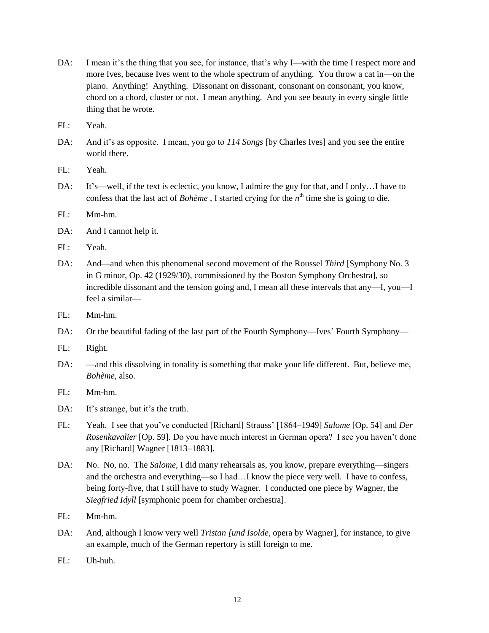- DA: I mean it's the thing that you see, for instance, that's why I—with the time I respect more and more Ives, because Ives went to the whole spectrum of anything. You throw a cat in—on the piano. Anything! Anything. Dissonant on dissonant, consonant on consonant, you know, chord on a chord, cluster or not. I mean anything. And you see beauty in every single little thing that he wrote.
- FL: Yeah.
- DA: And it's as opposite. I mean, you go to *114 Songs* [by Charles Ives] and you see the entire world there.
- FL: Yeah.
- DA: It's—well, if the text is eclectic, you know, I admire the guy for that, and I only...I have to confess that the last act of *Bohème*, I started crying for the  $n<sup>th</sup>$  time she is going to die.
- FL: Mm-hm.
- DA: And I cannot help it.
- FL: Yeah.
- DA: And—and when this phenomenal second movement of the Roussel *Third* [Symphony No. 3 in G minor, Op. 42 (1929/30), commissioned by the Boston Symphony Orchestra], so incredible dissonant and the tension going and, I mean all these intervals that any—I, you—I feel a similar—
- FL: Mm-hm.
- DA: Or the beautiful fading of the last part of the Fourth Symphony—Ives' Fourth Symphony—
- FL: Right.
- DA: —and this dissolving in tonality is something that make your life different. But, believe me, *Bohème,* also.
- FL: Mm-hm.
- DA: It's strange, but it's the truth.
- FL: Yeah. I see that you've conducted [Richard] Strauss' [1864–1949] *Salome* [Op. 54] and *Der Rosenkavalier* [Op. 59]. Do you have much interest in German opera? I see you haven't done any [Richard] Wagner [1813–1883].
- DA: No. No, no. The *Salome,* I did many rehearsals as, you know, prepare everything—singers and the orchestra and everything—so I had…I know the piece very well. I have to confess, being forty-five, that I still have to study Wagner. I conducted one piece by Wagner, the *Siegfried Idyll* [symphonic poem for chamber orchestra].
- FL: Mm-hm.
- DA: And, although I know very well *Tristan [und Isolde,* opera by Wagner], for instance, to give an example, much of the German repertory is still foreign to me.
- FL: Uh-huh.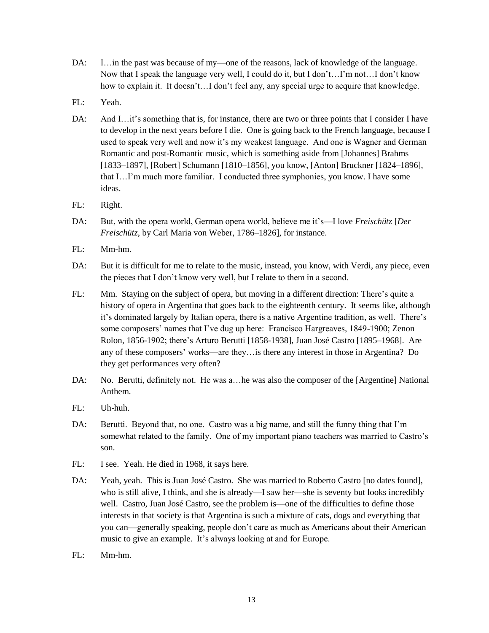- DA: I…in the past was because of my—one of the reasons, lack of knowledge of the language. Now that I speak the language very well, I could do it, but I don't…I'm not…I don't know how to explain it. It doesn't...I don't feel any, any special urge to acquire that knowledge.
- FL: Yeah.
- DA: And I…it's something that is, for instance, there are two or three points that I consider I have to develop in the next years before I die. One is going back to the French language, because I used to speak very well and now it's my weakest language. And one is Wagner and German Romantic and post-Romantic music, which is something aside from [Johannes] Brahms [1833–1897], [Robert] Schumann [1810–1856], you know, [Anton] Bruckner [1824–1896], that I…I'm much more familiar. I conducted three symphonies, you know. I have some ideas.
- FL: Right.
- DA: But, with the opera world, German opera world, believe me it's—I love *Freischütz* [*Der Freischütz*, by Carl Maria von Weber, 1786–1826], for instance.
- FL: Mm-hm.
- DA: But it is difficult for me to relate to the music, instead, you know, with Verdi, any piece, even the pieces that I don't know very well, but I relate to them in a second.
- FL: Mm. Staying on the subject of opera, but moving in a different direction: There's quite a history of opera in Argentina that goes back to the eighteenth century. It seems like, although it's dominated largely by Italian opera, there is a native Argentine tradition, as well. There's some composers' names that I've dug up here: Francisco Hargreaves, 1849-1900; Zenon Rolon, 1856-1902; there's Arturo Berutti [1858-1938], Juan José Castro [1895–1968]. Are any of these composers' works—are they…is there any interest in those in Argentina? Do they get performances very often?
- DA: No. Berutti, definitely not. He was a…he was also the composer of the [Argentine] National Anthem.
- FL: Uh-huh.
- DA: Berutti. Beyond that, no one. Castro was a big name, and still the funny thing that I'm somewhat related to the family. One of my important piano teachers was married to Castro's son.
- FL: I see. Yeah. He died in 1968, it says here.
- DA: Yeah, yeah. This is Juan José Castro. She was married to Roberto Castro [no dates found], who is still alive, I think, and she is already—I saw her—she is seventy but looks incredibly well. Castro, Juan José Castro, see the problem is—one of the difficulties to define those interests in that society is that Argentina is such a mixture of cats, dogs and everything that you can—generally speaking, people don't care as much as Americans about their American music to give an example. It's always looking at and for Europe.
- FL: Mm-hm.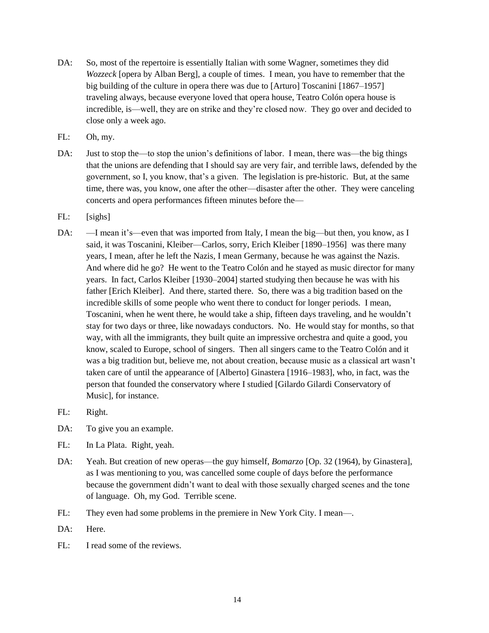- DA: So, most of the repertoire is essentially Italian with some Wagner, sometimes they did *Wozzeck* [opera by Alban Berg], a couple of times. I mean, you have to remember that the big building of the culture in opera there was due to [Arturo] Toscanini [1867–1957] traveling always, because everyone loved that opera house, Teatro Colón opera house is incredible, is—well, they are on strike and they're closed now. They go over and decided to close only a week ago.
- FL: Oh, my.
- DA: Just to stop the—to stop the union's definitions of labor. I mean, there was—the big things that the unions are defending that I should say are very fair, and terrible laws, defended by the government, so I, you know, that's a given. The legislation is pre-historic. But, at the same time, there was, you know, one after the other—disaster after the other. They were canceling concerts and opera performances fifteen minutes before the—
- FL: [sighs]
- DA: —I mean it's—even that was imported from Italy, I mean the big—but then, you know, as I said, it was Toscanini, Kleiber—Carlos, sorry, Erich Kleiber [1890–1956] was there many years, I mean, after he left the Nazis, I mean Germany, because he was against the Nazis. And where did he go? He went to the Teatro Colón and he stayed as music director for many years. In fact, Carlos Kleiber [1930–2004] started studying then because he was with his father [Erich Kleiber]. And there, started there. So, there was a big tradition based on the incredible skills of some people who went there to conduct for longer periods. I mean, Toscanini, when he went there, he would take a ship, fifteen days traveling, and he wouldn't stay for two days or three, like nowadays conductors. No. He would stay for months, so that way, with all the immigrants, they built quite an impressive orchestra and quite a good, you know, scaled to Europe, school of singers. Then all singers came to the Teatro Colón and it was a big tradition but, believe me, not about creation, because music as a classical art wasn't taken care of until the appearance of [Alberto] Ginastera [1916–1983], who, in fact, was the person that founded the conservatory where I studied [Gilardo Gilardi Conservatory of Music], for instance.
- FL: Right.
- DA: To give you an example.
- FL: In La Plata. Right, yeah.
- DA: Yeah. But creation of new operas—the guy himself, *Bomarzo* [Op. 32 (1964), by Ginastera], as I was mentioning to you, was cancelled some couple of days before the performance because the government didn't want to deal with those sexually charged scenes and the tone of language. Oh, my God. Terrible scene.
- FL: They even had some problems in the premiere in New York City. I mean—.
- DA: Here.
- FL: I read some of the reviews.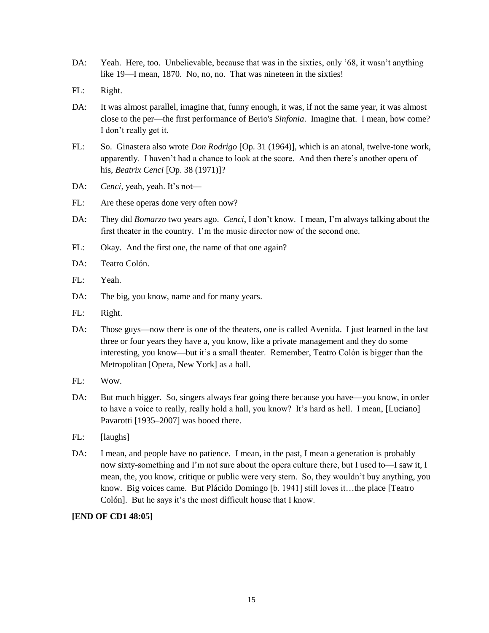- DA: Yeah. Here, too. Unbelievable, because that was in the sixties, only '68, it wasn't anything like 19—I mean, 1870. No, no, no. That was nineteen in the sixties!
- FL: Right.
- DA: It was almost parallel, imagine that, funny enough, it was, if not the same year, it was almost close to the per—the first performance of Berio's *Sinfonia*. Imagine that. I mean, how come? I don't really get it.
- FL: So. Ginastera also wrote *Don Rodrigo* [Op. 31 (1964)], which is an atonal, twelve-tone work, apparently. I haven't had a chance to look at the score. And then there's another opera of his, *Beatrix Cenci* [Op. 38 (1971)]?
- DA: *Cenci*, yeah, yeah. It's not—
- FL: Are these operas done very often now?
- DA: They did *Bomarzo* two years ago. *Cenci*, I don't know. I mean, I'm always talking about the first theater in the country. I'm the music director now of the second one.
- FL: Okay. And the first one, the name of that one again?
- DA: Teatro Colón.
- FL: Yeah.
- DA: The big, you know, name and for many years.
- FL: Right.
- DA: Those guys—now there is one of the theaters, one is called Avenida. I just learned in the last three or four years they have a, you know, like a private management and they do some interesting, you know—but it's a small theater. Remember, Teatro Colón is bigger than the Metropolitan [Opera, New York] as a hall.
- FL: Wow.
- DA: But much bigger. So, singers always fear going there because you have—you know, in order to have a voice to really, really hold a hall, you know? It's hard as hell. I mean, [Luciano] Pavarotti [1935–2007] was booed there.
- FL: [laughs]
- DA: I mean, and people have no patience. I mean, in the past, I mean a generation is probably now sixty-something and I'm not sure about the opera culture there, but I used to—I saw it, I mean, the, you know, critique or public were very stern. So, they wouldn't buy anything, you know. Big voices came. But Plácido Domingo [b. 1941] still loves it... the place [Teatro] Colón]. But he says it's the most difficult house that I know.

### **[END OF CD1 48:05]**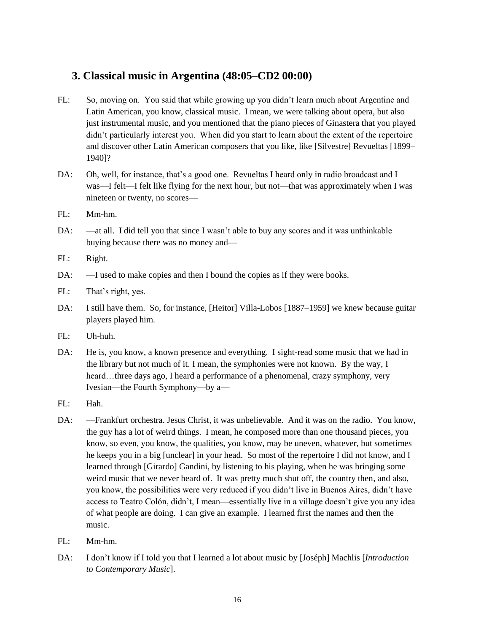## **3. Classical music in Argentina (48:05–CD2 00:00)**

- FL: So, moving on. You said that while growing up you didn't learn much about Argentine and Latin American, you know, classical music. I mean, we were talking about opera, but also just instrumental music, and you mentioned that the piano pieces of Ginastera that you played didn't particularly interest you. When did you start to learn about the extent of the repertoire and discover other Latin American composers that you like, like [Silvestre] Revueltas [1899– 1940]?
- DA: Oh, well, for instance, that's a good one. Revueltas I heard only in radio broadcast and I was—I felt—I felt like flying for the next hour, but not—that was approximately when I was nineteen or twenty, no scores—
- FL: Mm-hm.
- DA: —at all. I did tell you that since I wasn't able to buy any scores and it was unthinkable buying because there was no money and—
- FL: Right.
- DA:  $-I$  used to make copies and then I bound the copies as if they were books.
- FL: That's right, yes.
- DA: I still have them. So, for instance, [Heitor] Villa-Lobos [1887–1959] we knew because guitar players played him.
- $FI:$  Uh-huh.
- DA: He is, you know, a known presence and everything. I sight-read some music that we had in the library but not much of it. I mean, the symphonies were not known. By the way, I heard…three days ago, I heard a performance of a phenomenal, crazy symphony, very Ivesian—the Fourth Symphony—by a—
- FL: Hah.
- DA: —Frankfurt orchestra. Jesus Christ, it was unbelievable. And it was on the radio. You know, the guy has a lot of weird things. I mean, he composed more than one thousand pieces, you know, so even, you know, the qualities, you know, may be uneven, whatever, but sometimes he keeps you in a big [unclear] in your head. So most of the repertoire I did not know, and I learned through [Girardo] Gandini, by listening to his playing, when he was bringing some weird music that we never heard of. It was pretty much shut off, the country then, and also, you know, the possibilities were very reduced if you didn't live in Buenos Aires, didn't have access to Teatro Colón, didn't, I mean—essentially live in a village doesn't give you any idea of what people are doing. I can give an example. I learned first the names and then the music.
- FL: Mm-hm.
- DA: I don't know if I told you that I learned a lot about music by [Joséph] Machlis [*Introduction to Contemporary Music*].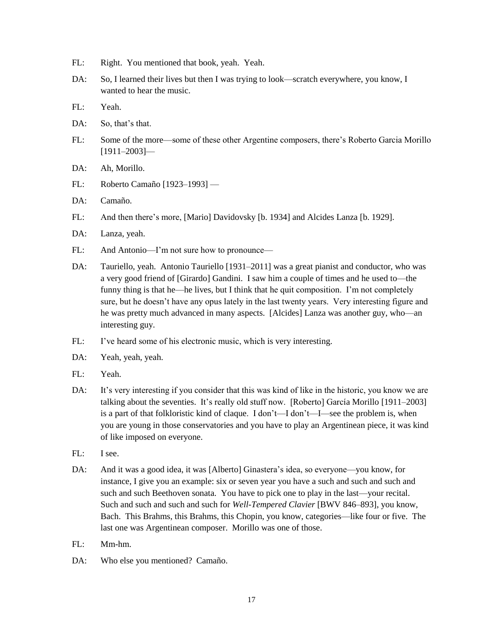- FL: Right. You mentioned that book, yeah. Yeah.
- DA: So, I learned their lives but then I was trying to look—scratch everywhere, you know, I wanted to hear the music.
- FL: Yeah.
- DA: So, that's that.
- FL: Some of the more—some of these other Argentine composers, there's Roberto Garcia Morillo  $[1911 - 2003]$
- DA: Ah, Morillo.
- FL: Roberto Camaño [1923–1993] —
- DA: Camaño.
- FL: And then there's more, [Mario] Davidovsky [b. 1934] and Alcides Lanza [b. 1929].
- DA: Lanza, yeah.
- FL: And Antonio—I'm not sure how to pronounce—
- DA: Tauriello, yeah. Antonio Tauriello [1931–2011] was a great pianist and conductor, who was a very good friend of [Girardo] Gandini. I saw him a couple of times and he used to—the funny thing is that he—he lives, but I think that he quit composition. I'm not completely sure, but he doesn't have any opus lately in the last twenty years. Very interesting figure and he was pretty much advanced in many aspects. [Alcides] Lanza was another guy, who—an interesting guy.
- FL: I've heard some of his electronic music, which is very interesting.
- DA: Yeah, yeah, yeah.
- FL: Yeah.
- DA: It's very interesting if you consider that this was kind of like in the historic, you know we are talking about the seventies. It's really old stuff now. [Roberto] García Morillo [1911–2003] is a part of that folkloristic kind of claque. I don't—I don't—I—see the problem is, when you are young in those conservatories and you have to play an Argentinean piece, it was kind of like imposed on everyone.
- FL: I see.
- DA: And it was a good idea, it was [Alberto] Ginastera's idea, so everyone—you know, for instance, I give you an example: six or seven year you have a such and such and such and such and such Beethoven sonata. You have to pick one to play in the last—your recital. Such and such and such and such for *Well-Tempered Clavier* [BWV 846–893], you know, Bach. This Brahms, this Brahms, this Chopin, you know, categories—like four or five. The last one was Argentinean composer. Morillo was one of those.
- FL: Mm-hm.
- DA: Who else you mentioned? Camaño.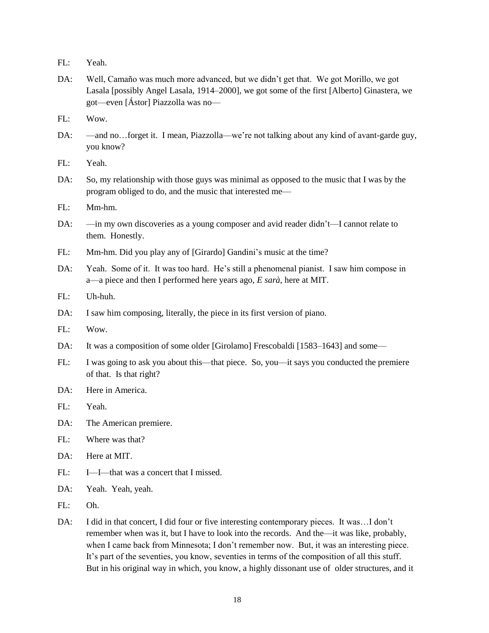- FL: Yeah.
- DA: Well, Camaño was much more advanced, but we didn't get that. We got Morillo, we got Lasala [possibly Angel Lasala, 1914–2000], we got some of the first [Alberto] Ginastera, we got—even [Ástor] Piazzolla was no—
- FL: Wow.
- DA: —and no…forget it. I mean, Piazzolla—we're not talking about any kind of avant-garde guy, you know?
- FL: Yeah.
- DA: So, my relationship with those guys was minimal as opposed to the music that I was by the program obliged to do, and the music that interested me—
- FL: Mm-hm.
- DA: —in my own discoveries as a young composer and avid reader didn't—I cannot relate to them. Honestly.
- FL: Mm-hm. Did you play any of [Girardo] Gandini's music at the time?
- DA: Yeah. Some of it. It was too hard. He's still a phenomenal pianist. I saw him compose in a—a piece and then I performed here years ago, *E sarà*, here at MIT.
- FL: Uh-huh.
- DA: I saw him composing, literally, the piece in its first version of piano.
- FL: Wow.
- DA: It was a composition of some older [Girolamo] Frescobaldi [1583–1643] and some—
- FL: I was going to ask you about this—that piece. So, you—it says you conducted the premiere of that. Is that right?
- DA: Here in America.
- FL: Yeah.
- DA: The American premiere.
- FL: Where was that?
- DA: Here at MIT.
- FL: I—I—that was a concert that I missed.
- DA: Yeah. Yeah, yeah.
- FL: Oh.
- DA: I did in that concert, I did four or five interesting contemporary pieces. It was…I don't remember when was it, but I have to look into the records. And the—it was like, probably, when I came back from Minnesota; I don't remember now. But, it was an interesting piece. It's part of the seventies, you know, seventies in terms of the composition of all this stuff. But in his original way in which, you know, a highly dissonant use of older structures, and it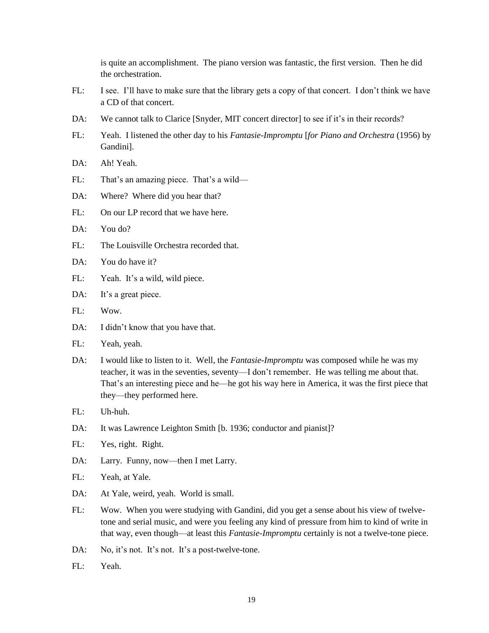is quite an accomplishment. The piano version was fantastic, the first version. Then he did the orchestration.

- FL: I see. I'll have to make sure that the library gets a copy of that concert. I don't think we have a CD of that concert.
- DA: We cannot talk to Clarice [Snyder, MIT concert director] to see if it's in their records?
- FL: Yeah. I listened the other day to his *Fantasie-Impromptu* [*for Piano and Orchestra* (1956) by Gandini].
- DA: Ah! Yeah.
- FL: That's an amazing piece. That's a wild—
- DA: Where? Where did you hear that?
- FL: On our LP record that we have here.
- DA: You do?
- FL: The Louisville Orchestra recorded that.
- DA: You do have it?
- FL: Yeah. It's a wild, wild piece.
- DA: It's a great piece.
- FL: Wow.
- DA: I didn't know that you have that.
- FL: Yeah, yeah.
- DA: I would like to listen to it. Well, the *Fantasie-Impromptu* was composed while he was my teacher, it was in the seventies, seventy—I don't remember. He was telling me about that. That's an interesting piece and he—he got his way here in America, it was the first piece that they—they performed here.
- FL: Uh-huh.
- DA: It was Lawrence Leighton Smith [b. 1936; conductor and pianist]?
- FL: Yes, right. Right.
- DA: Larry. Funny, now—then I met Larry.
- FL: Yeah, at Yale.
- DA: At Yale, weird, yeah. World is small.
- FL: Wow. When you were studying with Gandini, did you get a sense about his view of twelvetone and serial music, and were you feeling any kind of pressure from him to kind of write in that way, even though—at least this *Fantasie-Impromptu* certainly is not a twelve-tone piece.
- DA: No, it's not. It's not. It's a post-twelve-tone.
- FL: Yeah.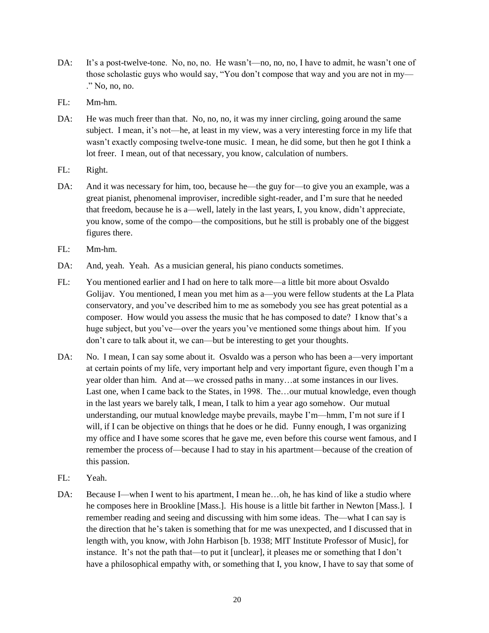- DA: It's a post-twelve-tone. No, no, no. He wasn't—no, no, no, I have to admit, he wasn't one of those scholastic guys who would say, "You don't compose that way and you are not in my— ." No, no, no.
- FL: Mm-hm.
- DA: He was much freer than that. No, no, no, it was my inner circling, going around the same subject. I mean, it's not—he, at least in my view, was a very interesting force in my life that wasn't exactly composing twelve-tone music. I mean, he did some, but then he got I think a lot freer. I mean, out of that necessary, you know, calculation of numbers.
- FL: Right.
- DA: And it was necessary for him, too, because he—the guy for—to give you an example, was a great pianist, phenomenal improviser, incredible sight-reader, and I'm sure that he needed that freedom, because he is a—well, lately in the last years, I, you know, didn't appreciate, you know, some of the compo—the compositions, but he still is probably one of the biggest figures there.
- FL: Mm-hm.
- DA: And, yeah. Yeah. As a musician general, his piano conducts sometimes.
- FL: You mentioned earlier and I had on here to talk more—a little bit more about Osvaldo Golijav. You mentioned, I mean you met him as a—you were fellow students at the La Plata conservatory, and you've described him to me as somebody you see has great potential as a composer. How would you assess the music that he has composed to date? I know that's a huge subject, but you've—over the years you've mentioned some things about him. If you don't care to talk about it, we can—but be interesting to get your thoughts.
- DA: No. I mean, I can say some about it. Osvaldo was a person who has been a—very important at certain points of my life, very important help and very important figure, even though I'm a year older than him. And at—we crossed paths in many…at some instances in our lives. Last one, when I came back to the States, in 1998. The…our mutual knowledge, even though in the last years we barely talk, I mean, I talk to him a year ago somehow. Our mutual understanding, our mutual knowledge maybe prevails, maybe I'm—hmm, I'm not sure if I will, if I can be objective on things that he does or he did. Funny enough, I was organizing my office and I have some scores that he gave me, even before this course went famous, and I remember the process of—because I had to stay in his apartment—because of the creation of this passion.
- FL: Yeah.
- DA: Because I—when I went to his apartment, I mean he…oh, he has kind of like a studio where he composes here in Brookline [Mass.]. His house is a little bit farther in Newton [Mass.]. I remember reading and seeing and discussing with him some ideas. The—what I can say is the direction that he's taken is something that for me was unexpected, and I discussed that in length with, you know, with John Harbison [b. 1938; MIT Institute Professor of Music], for instance. It's not the path that—to put it [unclear], it pleases me or something that I don't have a philosophical empathy with, or something that I, you know, I have to say that some of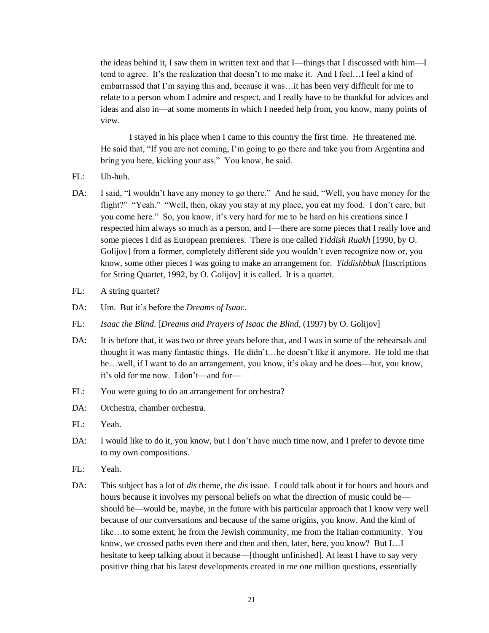the ideas behind it, I saw them in written text and that I—things that I discussed with him—I tend to agree. It's the realization that doesn't to me make it. And I feel…I feel a kind of embarrassed that I'm saying this and, because it was…it has been very difficult for me to relate to a person whom I admire and respect, and I really have to be thankful for advices and ideas and also in—at some moments in which I needed help from, you know, many points of view.

I stayed in his place when I came to this country the first time. He threatened me. He said that, "If you are not coming, I'm going to go there and take you from Argentina and bring you here, kicking your ass." You know, he said.

- FL: Uh-huh.
- DA: I said, "I wouldn't have any money to go there." And he said, "Well, you have money for the flight?" "Yeah." "Well, then, okay you stay at my place, you eat my food. I don't care, but you come here." So, you know, it's very hard for me to be hard on his creations since I respected him always so much as a person, and I—there are some pieces that I really love and some pieces I did as European premieres. There is one called *Yiddish Ruakh* [1990, by O. Golijov] from a former, completely different side you wouldn't even recognize now or, you know, some other pieces I was going to make an arrangement for. *Yiddishbbuk* [Inscriptions for String Quartet, 1992, by O. Golijov] it is called. It is a quartet.
- FL: A string quartet?
- DA: Um. But it's before the *Dreams of Isaac*.
- FL: *Isaac the Blind*. [*Dreams and Prayers of Isaac the Blind,* (1997) by O. Golijov]
- DA: It is before that, it was two or three years before that, and I was in some of the rehearsals and thought it was many fantastic things. He didn't…he doesn't like it anymore. He told me that he…well, if I want to do an arrangement, you know, it's okay and he does—but, you know, it's old for me now. I don't—and for—
- FL: You were going to do an arrangement for orchestra?
- DA: Orchestra, chamber orchestra.
- FL: Yeah.
- DA: I would like to do it, you know, but I don't have much time now, and I prefer to devote time to my own compositions.
- FL: Yeah.
- DA: This subject has a lot of *dis* theme, the *dis* issue. I could talk about it for hours and hours and hours because it involves my personal beliefs on what the direction of music could be should be—would be, maybe, in the future with his particular approach that I know very well because of our conversations and because of the same origins, you know. And the kind of like…to some extent, he from the Jewish community, me from the Italian community. You know, we crossed paths even there and then and then, later, here, you know? But I…I hesitate to keep talking about it because—[thought unfinished]. At least I have to say very positive thing that his latest developments created in me one million questions, essentially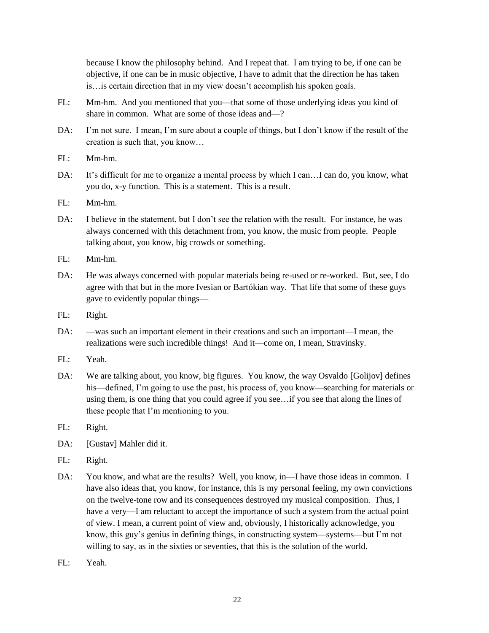because I know the philosophy behind. And I repeat that. I am trying to be, if one can be objective, if one can be in music objective, I have to admit that the direction he has taken is…is certain direction that in my view doesn't accomplish his spoken goals.

- FL: Mm-hm. And you mentioned that you—that some of those underlying ideas you kind of share in common. What are some of those ideas and—?
- DA: I'm not sure. I mean, I'm sure about a couple of things, but I don't know if the result of the creation is such that, you know…
- FL: Mm-hm.
- DA: It's difficult for me to organize a mental process by which I can...I can do, you know, what you do, x-y function. This is a statement. This is a result.
- FL: Mm-hm.
- DA: I believe in the statement, but I don't see the relation with the result. For instance, he was always concerned with this detachment from, you know, the music from people. People talking about, you know, big crowds or something.
- FL: Mm-hm.
- DA: He was always concerned with popular materials being re-used or re-worked. But, see, I do agree with that but in the more Ivesian or Bartókian way. That life that some of these guys gave to evidently popular things—
- FL: Right.
- DA: —was such an important element in their creations and such an important—I mean, the realizations were such incredible things! And it—come on, I mean, Stravinsky.
- FL: Yeah.
- DA: We are talking about, you know, big figures. You know, the way Osvaldo [Golijov] defines his—defined, I'm going to use the past, his process of, you know—searching for materials or using them, is one thing that you could agree if you see…if you see that along the lines of these people that I'm mentioning to you.
- FL: Right.
- DA: [Gustav] Mahler did it.
- FL: Right.
- DA: You know, and what are the results? Well, you know, in—I have those ideas in common. I have also ideas that, you know, for instance, this is my personal feeling, my own convictions on the twelve-tone row and its consequences destroyed my musical composition. Thus, I have a very—I am reluctant to accept the importance of such a system from the actual point of view. I mean, a current point of view and, obviously, I historically acknowledge, you know, this guy's genius in defining things, in constructing system—systems—but I'm not willing to say, as in the sixties or seventies, that this is the solution of the world.
- FL: Yeah.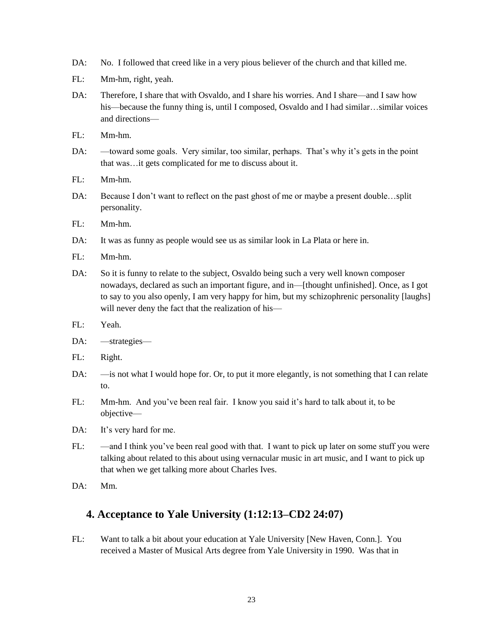- DA: No. I followed that creed like in a very pious believer of the church and that killed me.
- FL: Mm-hm, right, yeah.
- DA: Therefore, I share that with Osvaldo, and I share his worries. And I share—and I saw how his—because the funny thing is, until I composed, Osvaldo and I had similar…similar voices and directions—
- FL: Mm-hm.
- DA: —toward some goals. Very similar, too similar, perhaps. That's why it's gets in the point that was…it gets complicated for me to discuss about it.
- FL: Mm-hm.
- DA: Because I don't want to reflect on the past ghost of me or maybe a present double...split personality.
- FL: Mm-hm.
- DA: It was as funny as people would see us as similar look in La Plata or here in.
- FL: Mm-hm.
- DA: So it is funny to relate to the subject, Osvaldo being such a very well known composer nowadays, declared as such an important figure, and in—[thought unfinished]. Once, as I got to say to you also openly, I am very happy for him, but my schizophrenic personality [laughs] will never deny the fact that the realization of his—
- FL: Yeah.
- DA: —strategies—
- FL: Right.
- DA: —is not what I would hope for. Or, to put it more elegantly, is not something that I can relate to.
- FL: Mm-hm. And you've been real fair. I know you said it's hard to talk about it, to be objective—
- DA: It's very hard for me.
- FL: —and I think you've been real good with that. I want to pick up later on some stuff you were talking about related to this about using vernacular music in art music, and I want to pick up that when we get talking more about Charles Ives.
- DA: Mm.

### **4. Acceptance to Yale University (1:12:13–CD2 24:07)**

FL: Want to talk a bit about your education at Yale University [New Haven, Conn.]. You received a Master of Musical Arts degree from Yale University in 1990. Was that in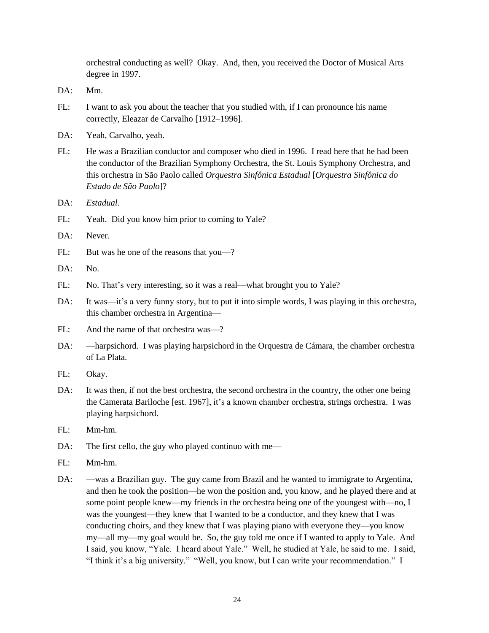orchestral conducting as well? Okay. And, then, you received the Doctor of Musical Arts degree in 1997.

- DA: Mm.
- FL: I want to ask you about the teacher that you studied with, if I can pronounce his name correctly, Eleazar de Carvalho [1912–1996].
- DA: Yeah, Carvalho, yeah.
- FL: He was a Brazilian conductor and composer who died in 1996. I read here that he had been the conductor of the Brazilian Symphony Orchestra, the St. Louis Symphony Orchestra, and this orchestra in São Paolo called *Orquestra Sinfônica Estadual* [*Orquestra Sinfônica do Estado de São Paolo*]?
- DA: *Estadual*.
- FL: Yeah. Did you know him prior to coming to Yale?
- DA: Never.
- FL: But was he one of the reasons that you—?
- DA: No.
- FL: No. That's very interesting, so it was a real—what brought you to Yale?
- DA: It was—it's a very funny story, but to put it into simple words, I was playing in this orchestra, this chamber orchestra in Argentina—
- FL: And the name of that orchestra was—?
- DA: —harpsichord. I was playing harpsichord in the Orquestra de Cámara, the chamber orchestra of La Plata.
- FL: Okay.
- DA: It was then, if not the best orchestra, the second orchestra in the country, the other one being the Camerata Bariloche [est. 1967], it's a known chamber orchestra, strings orchestra. I was playing harpsichord.
- FL: Mm-hm.
- DA: The first cello, the guy who played continuo with me—
- FL: Mm-hm.
- DA: —was a Brazilian guy. The guy came from Brazil and he wanted to immigrate to Argentina, and then he took the position—he won the position and, you know, and he played there and at some point people knew—my friends in the orchestra being one of the youngest with—no, I was the youngest—they knew that I wanted to be a conductor, and they knew that I was conducting choirs, and they knew that I was playing piano with everyone they—you know my—all my—my goal would be. So, the guy told me once if I wanted to apply to Yale. And I said, you know, "Yale. I heard about Yale." Well, he studied at Yale, he said to me. I said, "I think it's a big university." "Well, you know, but I can write your recommendation." I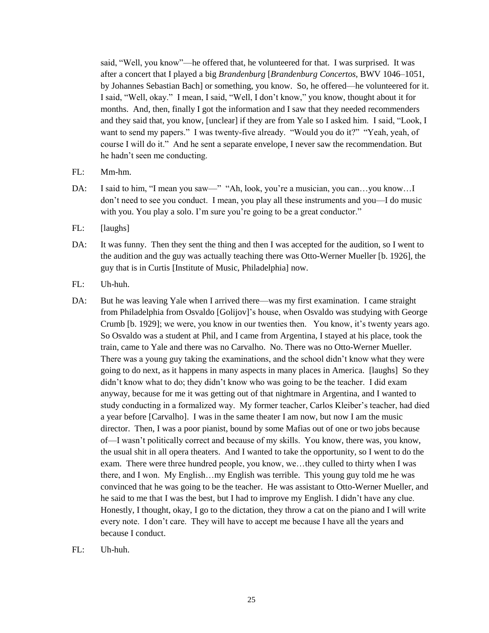said, "Well, you know"—he offered that, he volunteered for that. I was surprised. It was after a concert that I played a big *Brandenburg* [*Brandenburg Concertos,* BWV 1046–1051, by Johannes Sebastian Bach] or something, you know. So, he offered—he volunteered for it. I said, "Well, okay." I mean, I said, "Well, I don't know," you know, thought about it for months. And, then, finally I got the information and I saw that they needed recommenders and they said that, you know, [unclear] if they are from Yale so I asked him. I said, "Look, I want to send my papers." I was twenty-five already. "Would you do it?" "Yeah, yeah, of course I will do it." And he sent a separate envelope, I never saw the recommendation. But he hadn't seen me conducting.

- FL: Mm-hm.
- DA: I said to him, "I mean you saw—" "Ah, look, you're a musician, you can...you know...I don't need to see you conduct. I mean, you play all these instruments and you—I do music with you. You play a solo. I'm sure you're going to be a great conductor."
- FL: [laughs]
- DA: It was funny. Then they sent the thing and then I was accepted for the audition, so I went to the audition and the guy was actually teaching there was Otto-Werner Mueller [b. 1926], the guy that is in Curtis [Institute of Music, Philadelphia] now.
- FL: Uh-huh.
- DA: But he was leaving Yale when I arrived there—was my first examination. I came straight from Philadelphia from Osvaldo [Golijov]'s house, when Osvaldo was studying with George Crumb [b. 1929]; we were, you know in our twenties then. You know, it's twenty years ago. So Osvaldo was a student at Phil, and I came from Argentina, I stayed at his place, took the train, came to Yale and there was no Carvalho. No. There was no Otto-Werner Mueller. There was a young guy taking the examinations, and the school didn't know what they were going to do next, as it happens in many aspects in many places in America. [laughs] So they didn't know what to do; they didn't know who was going to be the teacher. I did exam anyway, because for me it was getting out of that nightmare in Argentina, and I wanted to study conducting in a formalized way. My former teacher, Carlos Kleiber's teacher, had died a year before [Carvalho]. I was in the same theater I am now, but now I am the music director. Then, I was a poor pianist, bound by some Mafias out of one or two jobs because of—I wasn't politically correct and because of my skills. You know, there was, you know, the usual shit in all opera theaters. And I wanted to take the opportunity, so I went to do the exam. There were three hundred people, you know, we…they culled to thirty when I was there, and I won. My English…my English was terrible. This young guy told me he was convinced that he was going to be the teacher. He was assistant to Otto-Werner Mueller, and he said to me that I was the best, but I had to improve my English. I didn't have any clue. Honestly, I thought, okay, I go to the dictation, they throw a cat on the piano and I will write every note. I don't care. They will have to accept me because I have all the years and because I conduct.
- FL: Uh-huh.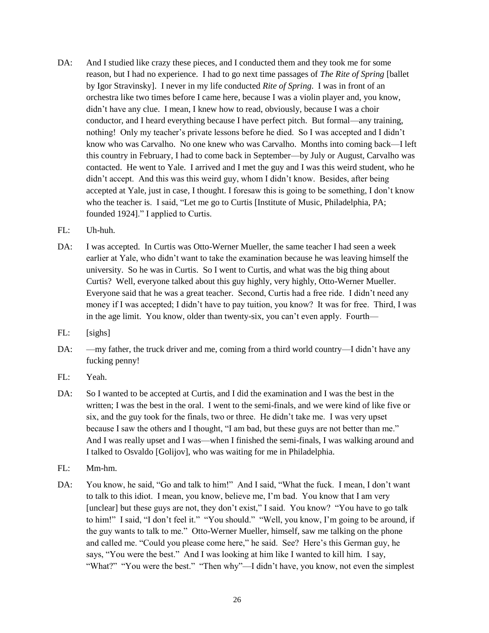- DA: And I studied like crazy these pieces, and I conducted them and they took me for some reason, but I had no experience. I had to go next time passages of *The Rite of Spring* [ballet by Igor Stravinsky]. I never in my life conducted *Rite of Spring*. I was in front of an orchestra like two times before I came here, because I was a violin player and, you know, didn't have any clue. I mean, I knew how to read, obviously, because I was a choir conductor, and I heard everything because I have perfect pitch. But formal—any training, nothing! Only my teacher's private lessons before he died. So I was accepted and I didn't know who was Carvalho. No one knew who was Carvalho. Months into coming back—I left this country in February, I had to come back in September—by July or August, Carvalho was contacted. He went to Yale. I arrived and I met the guy and I was this weird student, who he didn't accept. And this was this weird guy, whom I didn't know. Besides, after being accepted at Yale, just in case, I thought. I foresaw this is going to be something, I don't know who the teacher is. I said, "Let me go to Curtis [Institute of Music, Philadelphia, PA; founded 1924]." I applied to Curtis.
- FL: Uh-huh.
- DA: I was accepted. In Curtis was Otto-Werner Mueller, the same teacher I had seen a week earlier at Yale, who didn't want to take the examination because he was leaving himself the university. So he was in Curtis. So I went to Curtis, and what was the big thing about Curtis? Well, everyone talked about this guy highly, very highly, Otto-Werner Mueller. Everyone said that he was a great teacher. Second, Curtis had a free ride. I didn't need any money if I was accepted; I didn't have to pay tuition, you know? It was for free. Third, I was in the age limit. You know, older than twenty-six, you can't even apply. Fourth—
- FL: [sighs]
- DA: —my father, the truck driver and me, coming from a third world country—I didn't have any fucking penny!
- FL: Yeah.
- DA: So I wanted to be accepted at Curtis, and I did the examination and I was the best in the written; I was the best in the oral. I went to the semi-finals, and we were kind of like five or six, and the guy took for the finals, two or three. He didn't take me. I was very upset because I saw the others and I thought, "I am bad, but these guys are not better than me." And I was really upset and I was—when I finished the semi-finals, I was walking around and I talked to Osvaldo [Golijov], who was waiting for me in Philadelphia.
- FL: Mm-hm.
- DA: You know, he said, "Go and talk to him!" And I said, "What the fuck. I mean, I don't want to talk to this idiot. I mean, you know, believe me, I'm bad. You know that I am very [unclear] but these guys are not, they don't exist," I said. You know? "You have to go talk to him!" I said, "I don't feel it." "You should." "Well, you know, I'm going to be around, if the guy wants to talk to me." Otto-Werner Mueller, himself, saw me talking on the phone and called me. "Could you please come here," he said. See? Here's this German guy, he says, "You were the best." And I was looking at him like I wanted to kill him. I say, "What?" "You were the best." "Then why"—I didn't have, you know, not even the simplest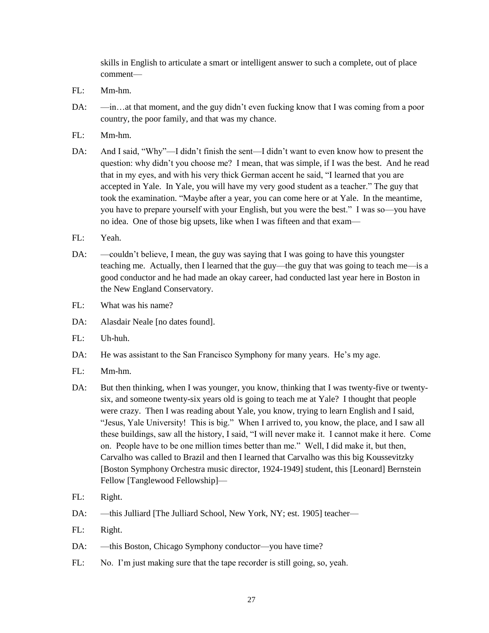skills in English to articulate a smart or intelligent answer to such a complete, out of place comment—

- FL: Mm-hm.
- DA:  $\frac{m}{n}$  —in…at that moment, and the guy didn't even fucking know that I was coming from a poor country, the poor family, and that was my chance.
- FL: Mm-hm.
- DA: And I said, "Why"—I didn't finish the sent—I didn't want to even know how to present the question: why didn't you choose me? I mean, that was simple, if I was the best. And he read that in my eyes, and with his very thick German accent he said, "I learned that you are accepted in Yale. In Yale, you will have my very good student as a teacher." The guy that took the examination. "Maybe after a year, you can come here or at Yale. In the meantime, you have to prepare yourself with your English, but you were the best." I was so—you have no idea. One of those big upsets, like when I was fifteen and that exam—
- FL: Yeah.
- DA: —couldn't believe, I mean, the guy was saying that I was going to have this youngster teaching me. Actually, then I learned that the guy—the guy that was going to teach me—is a good conductor and he had made an okay career, had conducted last year here in Boston in the New England Conservatory.
- $FI:$  What was his name?
- DA: Alasdair Neale [no dates found].
- FL: Uh-huh.
- DA: He was assistant to the San Francisco Symphony for many years. He's my age.
- FL: Mm-hm.
- DA: But then thinking, when I was younger, you know, thinking that I was twenty-five or twentysix, and someone twenty-six years old is going to teach me at Yale? I thought that people were crazy. Then I was reading about Yale, you know, trying to learn English and I said, "Jesus, Yale University! This is big." When I arrived to, you know, the place, and I saw all these buildings, saw all the history, I said, "I will never make it. I cannot make it here. Come on. People have to be one million times better than me." Well, I did make it, but then, Carvalho was called to Brazil and then I learned that Carvalho was this big Koussevitzky [Boston Symphony Orchestra music director, 1924-1949] student, this [Leonard] Bernstein Fellow [Tanglewood Fellowship]—
- FL: Right.
- DA: —this Julliard [The Julliard School, New York, NY; est. 1905] teacher—
- FL: Right.
- DA: —this Boston, Chicago Symphony conductor—you have time?
- FL: No. I'm just making sure that the tape recorder is still going, so, yeah.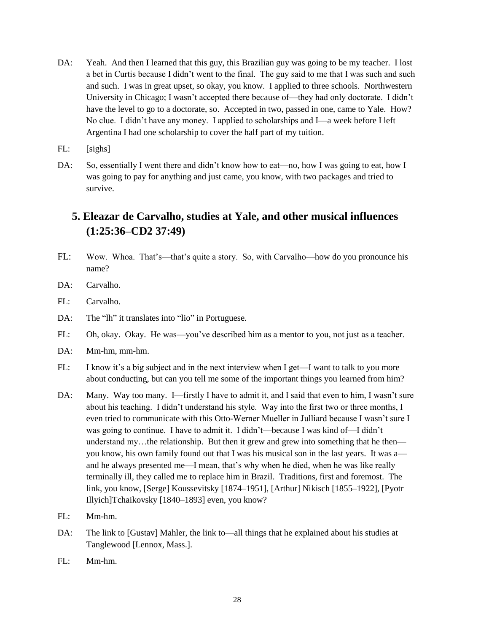- DA: Yeah. And then I learned that this guy, this Brazilian guy was going to be my teacher. I lost a bet in Curtis because I didn't went to the final. The guy said to me that I was such and such and such. I was in great upset, so okay, you know. I applied to three schools. Northwestern University in Chicago; I wasn't accepted there because of—they had only doctorate. I didn't have the level to go to a doctorate, so. Accepted in two, passed in one, came to Yale. How? No clue. I didn't have any money. I applied to scholarships and I—a week before I left Argentina I had one scholarship to cover the half part of my tuition.
- FL: [sighs]
- DA: So, essentially I went there and didn't know how to eat—no, how I was going to eat, how I was going to pay for anything and just came, you know, with two packages and tried to survive.

# **5. Eleazar de Carvalho, studies at Yale, and other musical influences (1:25:36–CD2 37:49)**

- FL: Wow. Whoa. That's—that's quite a story. So, with Carvalho—how do you pronounce his name?
- DA: Carvalho.
- FL: Carvalho.
- DA: The "lh" it translates into "lio" in Portuguese.
- FL: Oh, okay. Okay. He was—you've described him as a mentor to you, not just as a teacher.
- DA: Mm-hm, mm-hm.
- FL: I know it's a big subject and in the next interview when I get—I want to talk to you more about conducting, but can you tell me some of the important things you learned from him?
- DA: Many. Way too many. I—firstly I have to admit it, and I said that even to him, I wasn't sure about his teaching. I didn't understand his style. Way into the first two or three months, I even tried to communicate with this Otto-Werner Mueller in Julliard because I wasn't sure I was going to continue. I have to admit it. I didn't—because I was kind of—I didn't understand my...the relationship. But then it grew and grew into something that he then you know, his own family found out that I was his musical son in the last years. It was a and he always presented me—I mean, that's why when he died, when he was like really terminally ill, they called me to replace him in Brazil. Traditions, first and foremost. The link, you know, [Serge] Koussevitsky [1874–1951], [Arthur] Nikisch [1855–1922], [Pyotr Illyich]Tchaikovsky [1840–1893] even, you know?
- FL: Mm-hm.
- DA: The link to [Gustav] Mahler, the link to—all things that he explained about his studies at Tanglewood [Lennox, Mass.].
- FL: Mm-hm.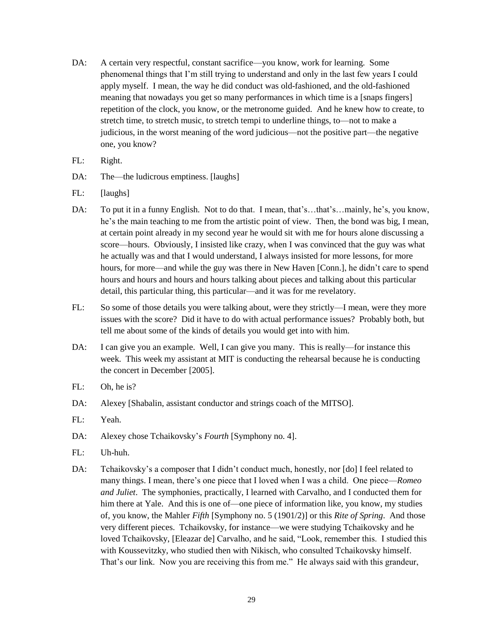- DA: A certain very respectful, constant sacrifice—you know, work for learning. Some phenomenal things that I'm still trying to understand and only in the last few years I could apply myself. I mean, the way he did conduct was old-fashioned, and the old-fashioned meaning that nowadays you get so many performances in which time is a [snaps fingers] repetition of the clock, you know, or the metronome guided. And he knew how to create, to stretch time, to stretch music, to stretch tempi to underline things, to—not to make a judicious, in the worst meaning of the word judicious—not the positive part—the negative one, you know?
- FL: Right.
- DA: The—the ludicrous emptiness. [laughs]
- FL: [laughs]
- DA: To put it in a funny English. Not to do that. I mean, that's...that's...mainly, he's, you know, he's the main teaching to me from the artistic point of view. Then, the bond was big, I mean, at certain point already in my second year he would sit with me for hours alone discussing a score—hours. Obviously, I insisted like crazy, when I was convinced that the guy was what he actually was and that I would understand, I always insisted for more lessons, for more hours, for more—and while the guy was there in New Haven [Conn.], he didn't care to spend hours and hours and hours and hours talking about pieces and talking about this particular detail, this particular thing, this particular—and it was for me revelatory.
- FL: So some of those details you were talking about, were they strictly—I mean, were they more issues with the score? Did it have to do with actual performance issues? Probably both, but tell me about some of the kinds of details you would get into with him.
- DA: I can give you an example. Well, I can give you many. This is really—for instance this week. This week my assistant at MIT is conducting the rehearsal because he is conducting the concert in December [2005].
- FL: Oh, he is?
- DA: Alexey [Shabalin, assistant conductor and strings coach of the MITSO].
- FL: Yeah.
- DA: Alexey chose Tchaikovsky's *Fourth* [Symphony no. 4].
- FL: Uh-huh.
- DA: Tchaikovsky's a composer that I didn't conduct much, honestly, nor [do] I feel related to many things. I mean, there's one piece that I loved when I was a child. One piece—*Romeo and Juliet*. The symphonies, practically, I learned with Carvalho, and I conducted them for him there at Yale. And this is one of—one piece of information like, you know, my studies of, you know, the Mahler *Fifth* [Symphony no. 5 (1901/2)] or this *Rite of Spring*. And those very different pieces. Tchaikovsky, for instance—we were studying Tchaikovsky and he loved Tchaikovsky, [Eleazar de] Carvalho, and he said, "Look, remember this. I studied this with Koussevitzky, who studied then with Nikisch, who consulted Tchaikovsky himself. That's our link. Now you are receiving this from me." He always said with this grandeur,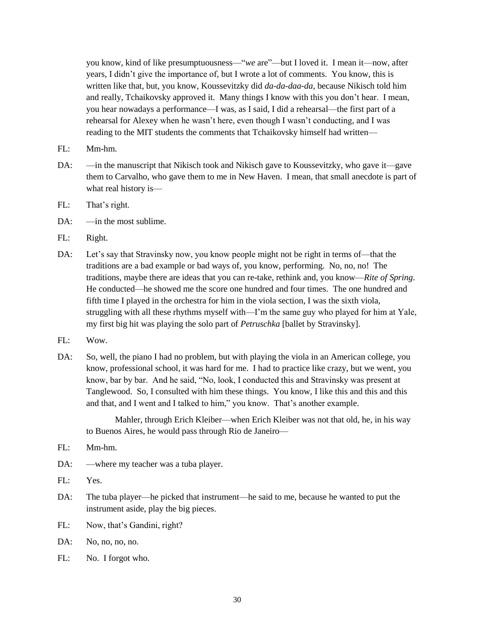you know, kind of like presumptuousness—"*we* are"—but I loved it. I mean it—now, after years, I didn't give the importance of, but I wrote a lot of comments. You know, this is written like that, but, you know, Koussevitzky did *da-da-daa-da*, because Nikisch told him and really, Tchaikovsky approved it. Many things I know with this you don't hear. I mean, you hear nowadays a performance—I was, as I said, I did a rehearsal—the first part of a rehearsal for Alexey when he wasn't here, even though I wasn't conducting, and I was reading to the MIT students the comments that Tchaikovsky himself had written—

- FL: Mm-hm.
- DA: —in the manuscript that Nikisch took and Nikisch gave to Koussevitzky, who gave it—gave them to Carvalho, who gave them to me in New Haven. I mean, that small anecdote is part of what real history is—
- FL: That's right.
- $DA:$  —in the most sublime.
- FL: Right.
- DA: Let's say that Stravinsky now, you know people might not be right in terms of—that the traditions are a bad example or bad ways of, you know, performing. No, no, no! The traditions, maybe there are ideas that you can re-take, rethink and, you know—*Rite of Spring*. He conducted—he showed me the score one hundred and four times. The one hundred and fifth time I played in the orchestra for him in the viola section, I was the sixth viola, struggling with all these rhythms myself with—I'm the same guy who played for him at Yale, my first big hit was playing the solo part of *Petruschka* [ballet by Stravinsky].
- FL: Wow.
- DA: So, well, the piano I had no problem, but with playing the viola in an American college, you know, professional school, it was hard for me. I had to practice like crazy, but we went, you know, bar by bar. And he said, "No, look, I conducted this and Stravinsky was present at Tanglewood. So, I consulted with him these things. You know, I like this and this and this and that, and I went and I talked to him," you know. That's another example.

Mahler, through Erich Kleiber—when Erich Kleiber was not that old, he, in his way to Buenos Aires, he would pass through Rio de Janeiro—

- FL: Mm-hm.
- DA: —where my teacher was a tuba player.
- FL: Yes.
- DA: The tuba player—he picked that instrument—he said to me, because he wanted to put the instrument aside, play the big pieces.
- FL: Now, that's Gandini, right?
- DA: No, no, no, no.
- FL: No. I forgot who.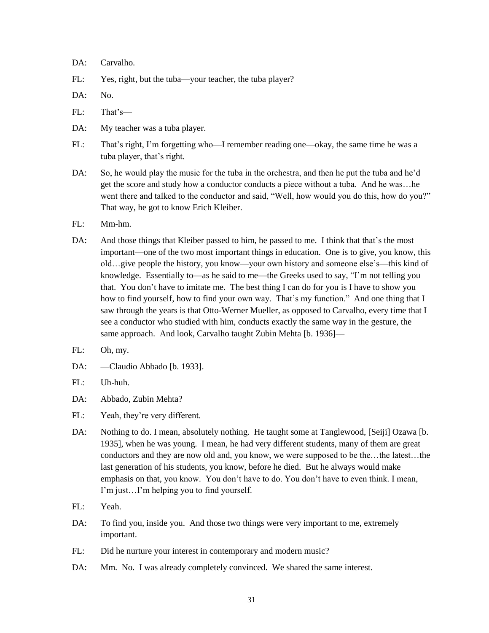#### DA: Carvalho.

- FL: Yes, right, but the tuba—your teacher, the tuba player?
- DA: No.
- FL: That's—
- DA: My teacher was a tuba player.
- FL: That's right, I'm forgetting who—I remember reading one—okay, the same time he was a tuba player, that's right.
- DA: So, he would play the music for the tuba in the orchestra, and then he put the tuba and he'd get the score and study how a conductor conducts a piece without a tuba. And he was…he went there and talked to the conductor and said, "Well, how would you do this, how do you?" That way, he got to know Erich Kleiber.
- FL: Mm-hm.
- DA: And those things that Kleiber passed to him, he passed to me. I think that that's the most important—one of the two most important things in education. One is to give, you know, this old…give people the history, you know—your own history and someone else's—this kind of knowledge. Essentially to—as he said to me—the Greeks used to say, "I'm not telling you that. You don't have to imitate me. The best thing I can do for you is I have to show you how to find yourself, how to find your own way. That's my function." And one thing that I saw through the years is that Otto-Werner Mueller, as opposed to Carvalho, every time that I see a conductor who studied with him, conducts exactly the same way in the gesture, the same approach. And look, Carvalho taught Zubin Mehta [b. 1936]-
- FL: Oh, my.
- DA: —Claudio Abbado [b. 1933].
- FL: Uh-huh.
- DA: Abbado, Zubin Mehta?
- FL: Yeah, they're very different.
- DA: Nothing to do. I mean, absolutely nothing. He taught some at Tanglewood, [Seiji] Ozawa [b. 1935], when he was young. I mean, he had very different students, many of them are great conductors and they are now old and, you know, we were supposed to be the…the latest…the last generation of his students, you know, before he died. But he always would make emphasis on that, you know. You don't have to do. You don't have to even think. I mean, I'm just…I'm helping you to find yourself.
- FL: Yeah.
- DA: To find you, inside you. And those two things were very important to me, extremely important.
- FL: Did he nurture your interest in contemporary and modern music?
- DA: Mm. No. I was already completely convinced. We shared the same interest.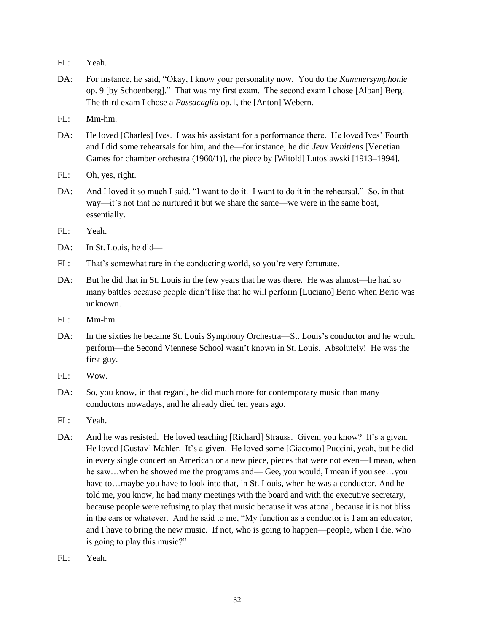- FL: Yeah.
- DA: For instance, he said, "Okay, I know your personality now. You do the *Kammersymphonie* op. 9 [by Schoenberg]." That was my first exam. The second exam I chose [Alban] Berg. The third exam I chose a *Passacaglia* op.1, the [Anton] Webern.
- FL: Mm-hm.
- DA: He loved [Charles] Ives. I was his assistant for a performance there. He loved Ives' Fourth and I did some rehearsals for him, and the—for instance, he did *Jeux Venitiens* [Venetian Games for chamber orchestra (1960/1)], the piece by [Witold] Lutoslawski [1913–1994].
- FL: Oh, yes, right.
- DA: And I loved it so much I said, "I want to do it. I want to do it in the rehearsal." So, in that way—it's not that he nurtured it but we share the same—we were in the same boat, essentially.
- FL: Yeah.
- DA: In St. Louis, he did—
- FL: That's somewhat rare in the conducting world, so you're very fortunate.
- DA: But he did that in St. Louis in the few years that he was there. He was almost—he had so many battles because people didn't like that he will perform [Luciano] Berio when Berio was unknown.
- FL: Mm-hm.
- DA: In the sixties he became St. Louis Symphony Orchestra—St. Louis's conductor and he would perform—the Second Viennese School wasn't known in St. Louis. Absolutely! He was the first guy.
- FL: Wow.
- DA: So, you know, in that regard, he did much more for contemporary music than many conductors nowadays, and he already died ten years ago.
- FL: Yeah.
- DA: And he was resisted. He loved teaching [Richard] Strauss. Given, you know? It's a given. He loved [Gustav] Mahler. It's a given. He loved some [Giacomo] Puccini, yeah, but he did in every single concert an American or a new piece, pieces that were not even—I mean, when he saw…when he showed me the programs and— Gee, you would, I mean if you see…you have to...maybe you have to look into that, in St. Louis, when he was a conductor. And he told me, you know, he had many meetings with the board and with the executive secretary, because people were refusing to play that music because it was atonal, because it is not bliss in the ears or whatever. And he said to me, "My function as a conductor is I am an educator, and I have to bring the new music. If not, who is going to happen—people, when I die, who is going to play this music?"
- FL: Yeah.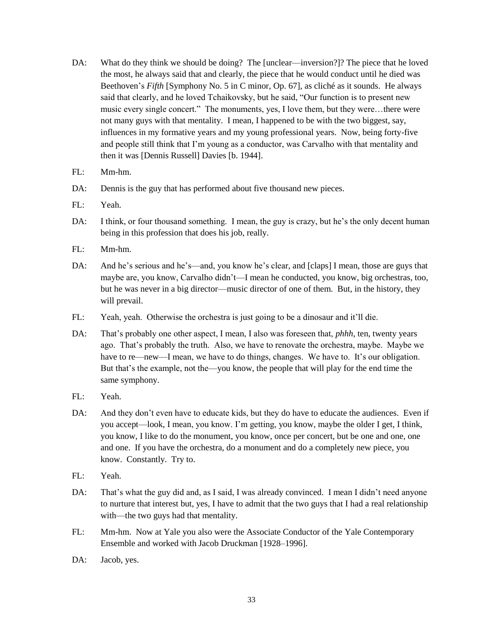- DA: What do they think we should be doing? The [unclear—inversion?]? The piece that he loved the most, he always said that and clearly, the piece that he would conduct until he died was Beethoven's *Fifth* [Symphony No. 5 in C minor, Op. 67], as cliché as it sounds. He always said that clearly, and he loved Tchaikovsky, but he said, "Our function is to present new music every single concert." The monuments, yes, I love them, but they were…there were not many guys with that mentality. I mean, I happened to be with the two biggest, say, influences in my formative years and my young professional years. Now, being forty-five and people still think that I'm young as a conductor, was Carvalho with that mentality and then it was [Dennis Russell] Davies [b. 1944].
- FL: Mm-hm.
- DA: Dennis is the guy that has performed about five thousand new pieces.
- FL: Yeah.
- DA: I think, or four thousand something. I mean, the guy is crazy, but he's the only decent human being in this profession that does his job, really.
- FL: Mm-hm.
- DA: And he's serious and he's—and, you know he's clear, and [claps] I mean, those are guys that maybe are, you know, Carvalho didn't—I mean he conducted, you know, big orchestras, too, but he was never in a big director—music director of one of them. But, in the history, they will prevail.
- FL: Yeah, yeah. Otherwise the orchestra is just going to be a dinosaur and it'll die.
- DA: That's probably one other aspect, I mean, I also was foreseen that, *phhh*, ten, twenty years ago. That's probably the truth. Also, we have to renovate the orchestra, maybe. Maybe we have to re—new—I mean, we have to do things, changes. We have to. It's our obligation. But that's the example, not the—you know, the people that will play for the end time the same symphony.
- FL: Yeah.
- DA: And they don't even have to educate kids, but they do have to educate the audiences. Even if you accept—look, I mean, you know. I'm getting, you know, maybe the older I get, I think, you know, I like to do the monument, you know, once per concert, but be one and one, one and one. If you have the orchestra, do a monument and do a completely new piece, you know. Constantly. Try to.
- FL: Yeah.
- DA: That's what the guy did and, as I said, I was already convinced. I mean I didn't need anyone to nurture that interest but, yes, I have to admit that the two guys that I had a real relationship with—the two guys had that mentality.
- FL: Mm-hm. Now at Yale you also were the Associate Conductor of the Yale Contemporary Ensemble and worked with Jacob Druckman [1928–1996].
- DA: Jacob, yes.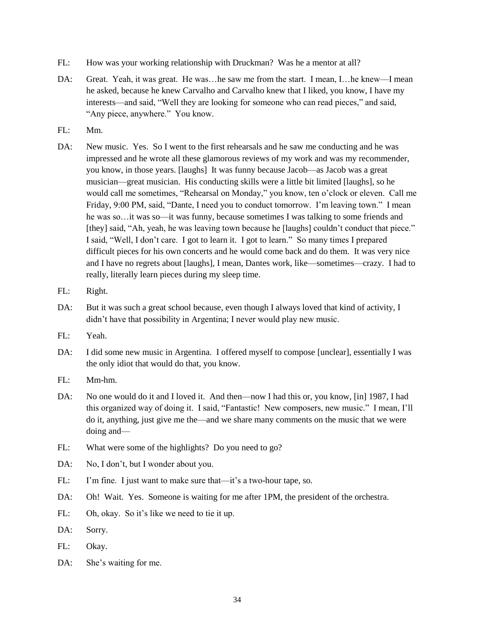- FL: How was your working relationship with Druckman? Was he a mentor at all?
- DA: Great. Yeah, it was great. He was...he saw me from the start. I mean, I...he knew—I mean he asked, because he knew Carvalho and Carvalho knew that I liked, you know, I have my interests—and said, "Well they are looking for someone who can read pieces," and said, "Any piece, anywhere." You know.
- FL: Mm.
- DA: New music. Yes. So I went to the first rehearsals and he saw me conducting and he was impressed and he wrote all these glamorous reviews of my work and was my recommender, you know, in those years. [laughs] It was funny because Jacob—as Jacob was a great musician—great musician. His conducting skills were a little bit limited [laughs], so he would call me sometimes, "Rehearsal on Monday," you know, ten o'clock or eleven. Call me Friday, 9:00 PM, said, "Dante, I need you to conduct tomorrow. I'm leaving town." I mean he was so…it was so—it was funny, because sometimes I was talking to some friends and [they] said, "Ah, yeah, he was leaving town because he [laughs] couldn't conduct that piece." I said, "Well, I don't care. I got to learn it. I got to learn." So many times I prepared difficult pieces for his own concerts and he would come back and do them. It was very nice and I have no regrets about [laughs], I mean, Dantes work, like—sometimes—crazy. I had to really, literally learn pieces during my sleep time.
- FL: Right.
- DA: But it was such a great school because, even though I always loved that kind of activity, I didn't have that possibility in Argentina; I never would play new music.
- FL: Yeah.
- DA: I did some new music in Argentina. I offered myself to compose [unclear], essentially I was the only idiot that would do that, you know.
- FL: Mm-hm.
- DA: No one would do it and I loved it. And then—now I had this or, you know, [in] 1987, I had this organized way of doing it. I said, "Fantastic! New composers, new music." I mean, I'll do it, anything, just give me the—and we share many comments on the music that we were doing and—
- FL: What were some of the highlights? Do you need to go?
- DA: No, I don't, but I wonder about you.
- FL: I'm fine. I just want to make sure that—it's a two-hour tape, so.
- DA: Oh! Wait. Yes. Someone is waiting for me after 1PM, the president of the orchestra.
- FL: Oh, okay. So it's like we need to tie it up.
- DA: Sorry.
- FL: Okay.
- DA: She's waiting for me.